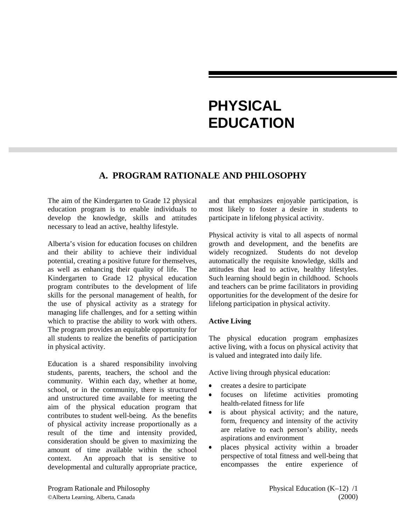# **PHYSICAL EDUCATION**

# **A. PROGRAM RATIONALE AND PHILOSOPHY**

The aim of the Kindergarten to Grade 12 physical education program is to enable individuals to develop the knowledge, skills and attitudes necessary to lead an active, healthy lifestyle.

Alberta's vision for education focuses on children and their ability to achieve their individual potential, creating a positive future for themselves, as well as enhancing their quality of life. The Kindergarten to Grade 12 physical education program contributes to the development of life skills for the personal management of health, for the use of physical activity as a strategy for managing life challenges, and for a setting within which to practise the ability to work with others. The program provides an equitable opportunity for all students to realize the benefits of participation in physical activity.

Education is a shared responsibility involving students, parents, teachers, the school and the community. Within each day, whether at home, school, or in the community, there is structured and unstructured time available for meeting the aim of the physical education program that contributes to student well-being. As the benefits of physical activity increase proportionally as a result of the time and intensity provided, consideration should be given to maximizing the amount of time available within the school context. An approach that is sensitive to developmental and culturally appropriate practice, and that emphasizes enjoyable participation, is most likely to foster a desire in students to participate in lifelong physical activity.

Physical activity is vital to all aspects of normal growth and development, and the benefits are widely recognized. Students do not develop automatically the requisite knowledge, skills and attitudes that lead to active, healthy lifestyles. Such learning should begin in childhood. Schools and teachers can be prime facilitators in providing opportunities for the development of the desire for lifelong participation in physical activity.

### **Active Living**

The physical education program emphasizes active living, with a focus on physical activity that is valued and integrated into daily life.

Active living through physical education:

- $\overline{a}$ creates a desire to participate
- $\bullet$  focuses on lifetime activities promoting health-related fitness for life
- $\overline{a}$  is about physical activity; and the nature, form, frequency and intensity of the activity are relative to each person's ability, needs aspirations and environment
- $\overline{a}$  places physical activity within a broader perspective of total fitness and well-being that encompasses the entire experience of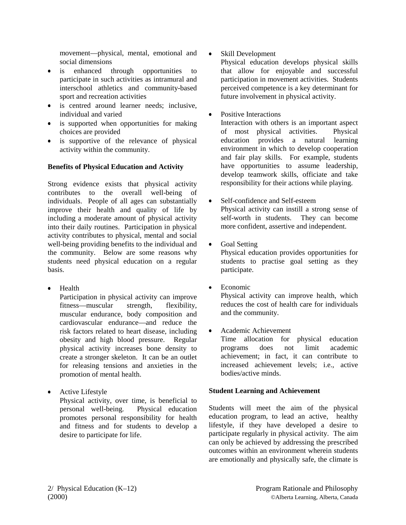movement—physical, mental, emotional and social dimensions

- $\bullet$  is enhanced through opportunities to participate in such activities as intramural and interschool athletics and community-based sport and recreation activities
- $\bullet$  is centred around learner needs; inclusive, individual and varied
- is supported when opportunities for making choices are provided
- $\bullet$  is supportive of the relevance of physical activity within the community.

#### **Benefits of Physical Education and Activity**

Strong evidence exists that physical activity contributes to the overall well-being of individuals. People of all ages can substantially improve their health and quality of life by including a moderate amount of physical activity into their daily routines. Participation in physical activity contributes to physical, mental and social well-being providing benefits to the individual and the community. Below are some reasons why students need physical education on a regular basis.

• Health

Participation in physical activity can improve fitness—muscular strength, flexibility, muscular endurance, body composition and cardiovascular endurance—and reduce the risk factors related to heart disease, including obesity and high blood pressure. Regular physical activity increases bone density to create a stronger skeleton. It can be an outlet for releasing tensions and anxieties in the promotion of mental health.

 $\overline{a}$  Active Lifestyle Physical activity, over time, is beneficial to personal well-being. Physical education promotes personal responsibility for health and fitness and for students to develop a desire to participate for life.

 $\bullet$ Skill Development

Physical education develops physical skills that allow for enjoyable and successful participation in movement activities. Students perceived competence is a key determinant for future involvement in physical activity.

 $\overline{a}$ Positive Interactions

Interaction with others is an important aspect of most physical activities. Physical education provides a natural learning environment in which to develop cooperation and fair play skills. For example, students have opportunities to assume leadership, develop teamwork skills, officiate and take responsibility for their actions while playing.

- $\blacksquare$  Self-confidence and Self-esteem Physical activity can instill a strong sense of self-worth in students. They can become more confident, assertive and independent.
- $\bullet$ Goal Setting

Physical education provides opportunities for students to practise goal setting as they participate.

 $\overline{a}$ Economic

 $\bullet$ 

Physical activity can improve health, which reduces the cost of health care for individuals and the community.

 Academic Achievement Time allocation for physical education programs does not limit academic achievement; in fact, it can contribute to increased achievement levels; i.e., active bodies/active minds.

### **Student Learning and Achievement**

Students will meet the aim of the physical education program, to lead an active, healthy lifestyle, if they have developed a desire to participate regularly in physical activity. The aim can only be achieved by addressing the prescribed outcomes within an environment wherein students are emotionally and physically safe, the climate is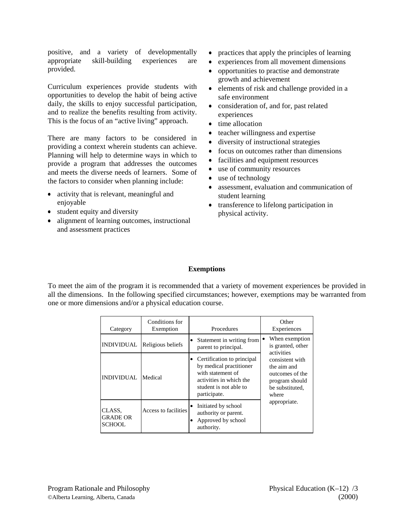positive, and a variety of developmentally appropriate skill-building experiences are provided.

Curriculum experiences provide students with opportunities to develop the habit of being active daily, the skills to enjoy successful participation, and to realize the benefits resulting from activity. This is the focus of an "active living" approach.

There are many factors to be considered in providing a context wherein students can achieve. Planning will help to determine ways in which to provide a program that addresses the outcomes and meets the diverse needs of learners. Some of the factors to consider when planning include:

- activity that is relevant, meaningful and enjoyable
- $\bullet$  student equity and diversity
- alignment of learning outcomes, instructional and assessment practices
- practices that apply the principles of learning
- $\bullet$ experiences from all movement dimensions
- $\bullet$  opportunities to practise and demonstrate growth and achievement
- elements of risk and challenge provided in a safe environment
- $\overline{a}$  consideration of, and for, past related experiences
- $\bullet$  time allocation
- teacher willingness and expertise
- $\bullet$ diversity of instructional strategies
- $\overline{a}$ focus on outcomes rather than dimensions
- facilities and equipment resources
- $\bullet$ use of community resources
- $\bullet$ use of technology
- $\overline{a}$  assessment, evaluation and communication of student learning
- transference to lifelong participation in physical activity.

#### **Exemptions**

To meet the aim of the program it is recommended that a variety of movement experiences be provided in all the dimensions. In the following specified circumstances; however, exemptions may be warranted from one or more dimensions and/or a physical education course.

| Category                                   | Conditions for<br>Exemption | Procedures                                                                                                                                      | Other<br>Experiences                                                                            |
|--------------------------------------------|-----------------------------|-------------------------------------------------------------------------------------------------------------------------------------------------|-------------------------------------------------------------------------------------------------|
| <b>INDIVIDUAL</b>                          | Religious beliefs           | Statement in writing from<br>٠<br>parent to principal.                                                                                          | When exemption<br>is granted, other<br>activities                                               |
| <b>INDIVIDUAL</b>                          | Medical                     | Certification to principal<br>by medical practitioner<br>with statement of<br>activities in which the<br>student is not able to<br>participate. | consistent with<br>the aim and<br>outcomes of the<br>program should<br>be substituted.<br>where |
| CLASS.<br><b>GRADE OR</b><br><b>SCHOOL</b> | Access to facilities        | Initiated by school<br>٠<br>authority or parent.<br>Approved by school<br>authority.                                                            | appropriate.                                                                                    |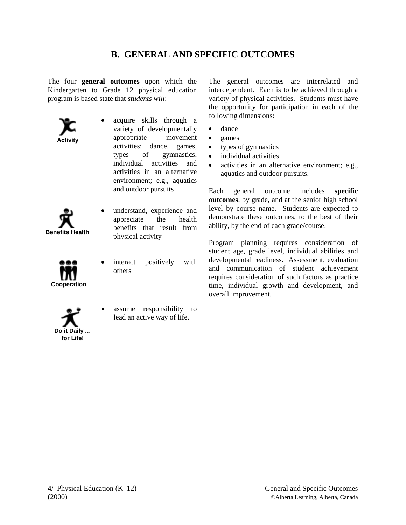# **B. GENERAL AND SPECIFIC OUTCOMES**

The four **general outcomes** upon which the Kindergarten to Grade 12 physical education program is based state that *students will*:

**Activity**

- $\overline{a}$  acquire skills through a variety of developmentally appropriate movement activities; dance, games, types of gymnastics, individual activities and activities in an alternative environment; e.g., aquatics and outdoor pursuits
- **Benefits Health**
- $\overline{a}$  understand, experience and appreciate the health benefits that result from physical activity

**Cooperation**

- $\overline{a}$  interact positively with others
- **Do it Daily** } **for Life!**
- $\overline{a}$  assume responsibility to lead an active way of life.

The general outcomes are interrelated and interdependent. Each is to be achieved through a variety of physical activities. Students must have the opportunity for participation in each of the following dimensions:

- $\bullet$ dance
- $\bullet$ games
- $\overline{a}$ types of gymnastics
- $\bullet$ individual activities
- $\bullet$  activities in an alternative environment; e.g., aquatics and outdoor pursuits.

Each general outcome includes **specific outcomes**, by grade, and at the senior high school level by course name. Students are expected to demonstrate these outcomes, to the best of their ability, by the end of each grade/course.

Program planning requires consideration of student age, grade level, individual abilities and developmental readiness. Assessment, evaluation and communication of student achievement requires consideration of such factors as practice time, individual growth and development, and overall improvement.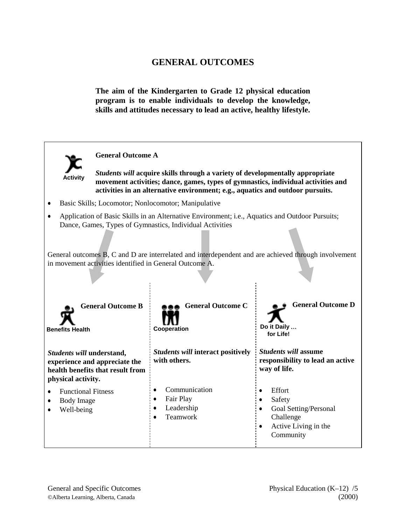**The aim of the Kindergarten to Grade 12 physical education program is to enable individuals to develop the knowledge, skills and attitudes necessary to lead an active, healthy lifestyle.**

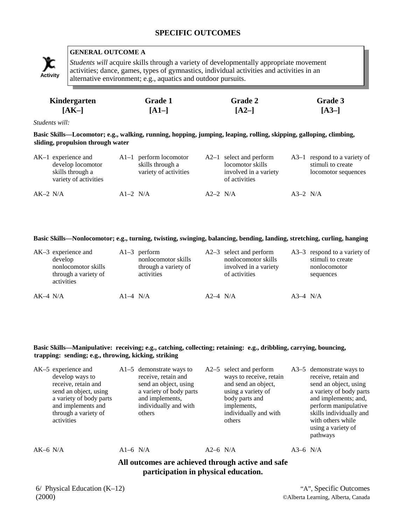# **SPECIFIC OUTCOMES**



## **GENERAL OUTCOME A**

*Students will* acquire skills through a variety of developmentally appropriate movement activities; dance, games, types of gymnastics, individual activities and activities in an Activity alternative environment; e.g., aquatics and outdoor pursuits.

| Kindergarten | <b>Grade 1</b> | Grade 2 | Grade 3 |
|--------------|----------------|---------|---------|
| $[AK-]$      | $[A1-]$        | $[A2-]$ | $[A3-]$ |

*Students will:*

**Basic Skills—Locomotor; e.g., walking, running, hopping, jumping, leaping, rolling, skipping, galloping, climbing, sliding, propulsion through water**

|            | $AK-1$ experience and<br>develop locomotor<br>skills through a<br>variety of activities |            | $Al-1$ perform locomotor<br>skills through a<br>variety of activities |            | $A2-1$ select and perform<br>locomotor skills<br>involved in a variety<br>of activities |            | $A3-1$ respond to a variety of<br>stimuli to create<br>locomotor sequences |
|------------|-----------------------------------------------------------------------------------------|------------|-----------------------------------------------------------------------|------------|-----------------------------------------------------------------------------------------|------------|----------------------------------------------------------------------------|
| $AK-2$ N/A |                                                                                         | $A1-2$ N/A |                                                                       | $A2-2$ N/A |                                                                                         | $A3-2$ N/A |                                                                            |

#### **Basic Skills—Nonlocomotor; e.g., turning, twisting, swinging, balancing, bending, landing, stretching, curling, hanging**

|            | $AK-3$ experience and<br>develop<br>nonlocomotor skills<br>through a variety of<br>activities |            | $Al-3$ perform<br>nonlocomotor skills<br>through a variety of<br>activities |            | $A2-3$ select and perform<br>nonlocomotor skills<br>involved in a variety<br>of activities |            | $A3-3$ respond to a variety of<br>stimuli to create<br>nonlocomotor<br>sequences |
|------------|-----------------------------------------------------------------------------------------------|------------|-----------------------------------------------------------------------------|------------|--------------------------------------------------------------------------------------------|------------|----------------------------------------------------------------------------------|
| $AK-4$ N/A |                                                                                               | $A1-4$ N/A |                                                                             | $A2-4$ N/A |                                                                                            | $A3-4$ N/A |                                                                                  |

#### **Basic Skills—Manipulative: receiving; e.g., catching, collecting; retaining: e.g., dribbling, carrying, bouncing, trapping: sending; e.g., throwing, kicking, striking**

|            | AK-5 experience and<br>develop ways to<br>receive, retain and<br>send an object, using<br>a variety of body parts<br>and implements and<br>through a variety of<br>activities |          | $A1-5$ demonstrate ways to<br>receive, retain and<br>send an object, using<br>a variety of body parts<br>and implements,<br>individually and with<br>others |            | $A2-5$ select and perform<br>ways to receive, retain<br>and send an object,<br>using a variety of<br>body parts and<br>implements.<br>individually and with<br>others |            | A3–5 demonstrate ways to<br>receive, retain and<br>send an object, using<br>a variety of body parts<br>and implements; and,<br>perform manipulative<br>skills individually and<br>with others while<br>using a variety of<br>pathways |  |
|------------|-------------------------------------------------------------------------------------------------------------------------------------------------------------------------------|----------|-------------------------------------------------------------------------------------------------------------------------------------------------------------|------------|-----------------------------------------------------------------------------------------------------------------------------------------------------------------------|------------|---------------------------------------------------------------------------------------------------------------------------------------------------------------------------------------------------------------------------------------|--|
| $AK-6$ N/A |                                                                                                                                                                               | A1-6 N/A |                                                                                                                                                             | $A2-6$ N/A |                                                                                                                                                                       | $A3-6$ N/A |                                                                                                                                                                                                                                       |  |
|            | All outcomes are achieved through active and safe<br>participation in physical education.                                                                                     |          |                                                                                                                                                             |            |                                                                                                                                                                       |            |                                                                                                                                                                                                                                       |  |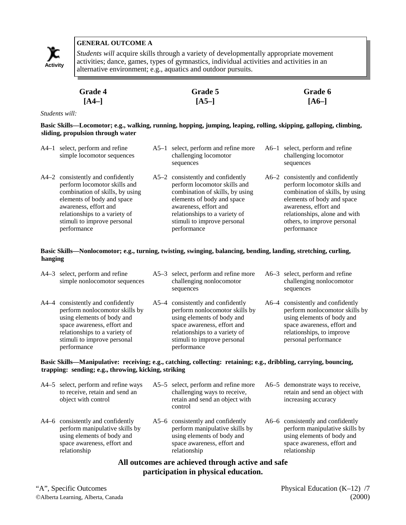

*Students will* acquire skills through a variety of developmentally appropriate movement activities; dance, games, types of gymnastics, individual activities and activities in an Activity activities, dance, gaines, types of gynmastics, individual activity alternative environment; e.g., aquatics and outdoor pursuits.

| <b>Grade 4</b> | <b>Grade 5</b> | Grade 6 |
|----------------|----------------|---------|
| $[A4-]$        | $[A5-]$        | $[A6-]$ |

*Students will:*

**Basic Skills—Locomotor; e.g., walking, running, hopping, jumping, leaping, rolling, skipping, galloping, climbing, sliding, propulsion through water**

| A4–1 select, perform and refine<br>simple locomotor sequences                                                                                                                                                                              | A5-1 select, perform and refine more<br>challenging locomotor<br>sequences                                                                                                                                                                 | A6-1 select, perform and refine<br>challenging locomotor<br>sequences                                                                                                                                                                      |
|--------------------------------------------------------------------------------------------------------------------------------------------------------------------------------------------------------------------------------------------|--------------------------------------------------------------------------------------------------------------------------------------------------------------------------------------------------------------------------------------------|--------------------------------------------------------------------------------------------------------------------------------------------------------------------------------------------------------------------------------------------|
| A4–2 consistently and confidently<br>perform locomotor skills and<br>combination of skills, by using<br>elements of body and space<br>awareness, effort and<br>relationships to a variety of<br>stimuli to improve personal<br>performance | A5–2 consistently and confidently<br>perform locomotor skills and<br>combination of skills, by using<br>elements of body and space<br>awareness, effort and<br>relationships to a variety of<br>stimuli to improve personal<br>performance | A6–2 consistently and confidently<br>perform locomotor skills and<br>combination of skills, by using<br>elements of body and space<br>awareness, effort and<br>relationships, alone and with<br>others, to improve personal<br>performance |

#### **Basic Skills—Nonlocomotor; e.g., turning, twisting, swinging, balancing, bending, landing, stretching, curling, hanging**

| A4–3 select, perform and refine<br>simple nonlocomotor sequences                                                                                                                                                | A5–3 select, perform and refine more<br>challenging nonlocomotor<br>sequences                                                                                                                                   | A6–3 select, perform and refine<br>challenging nonlocomotor<br>sequences                                                                                                              |
|-----------------------------------------------------------------------------------------------------------------------------------------------------------------------------------------------------------------|-----------------------------------------------------------------------------------------------------------------------------------------------------------------------------------------------------------------|---------------------------------------------------------------------------------------------------------------------------------------------------------------------------------------|
| A4–4 consistently and confidently<br>perform nonlocomotor skills by<br>using elements of body and<br>space awareness, effort and<br>relationships to a variety of<br>stimuli to improve personal<br>performance | A5–4 consistently and confidently<br>perform nonlocomotor skills by<br>using elements of body and<br>space awareness, effort and<br>relationships to a variety of<br>stimuli to improve personal<br>performance | A6–4 consistently and confidently<br>perform nonlocomotor skills by<br>using elements of body and<br>space awareness, effort and<br>relationships, to improve<br>personal performance |

#### **Basic Skills—Manipulative: receiving; e.g., catching, collecting: retaining; e.g., dribbling, carrying, bouncing, trapping: sending; e.g., throwing, kicking, striking**

| A4–5 select, perform and refine ways<br>to receive, retain and send an<br>object with control                                                    | A5–5 select, perform and refine more<br>challenging ways to receive,<br>retain and send an object with<br>control                                | A6–5 demonstrate ways to receive,<br>retain and send an object with<br>increasing accuracy                                                       |
|--------------------------------------------------------------------------------------------------------------------------------------------------|--------------------------------------------------------------------------------------------------------------------------------------------------|--------------------------------------------------------------------------------------------------------------------------------------------------|
| A4–6 consistently and confidently<br>perform manipulative skills by<br>using elements of body and<br>space awareness, effort and<br>relationship | A5–6 consistently and confidently<br>perform manipulative skills by<br>using elements of body and<br>space awareness, effort and<br>relationship | A6–6 consistently and confidently<br>perform manipulative skills by<br>using elements of body and<br>space awareness, effort and<br>relationship |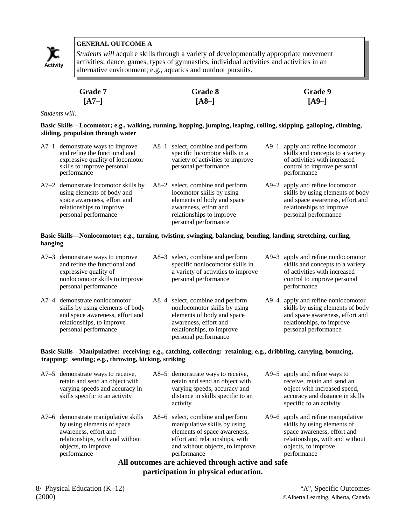

*Students will* acquire skills through a variety of developmentally appropriate movement activities; dance, games, types of gymnastics, individual activities and activities in an Activity activities, dance, games, types of gynmastics, murvidual activity alternative environment; e.g., aquatics and outdoor pursuits.

| <b>Grade 7</b> | Grade 8 | Grade 9 |
|----------------|---------|---------|
| $[A7-]$        | $[A8-]$ | $[A9-]$ |

*Students will:*

**Basic Skills—Locomotor; e.g., walking, running, hopping, jumping, leaping, rolling, skipping, galloping, climbing, sliding, propulsion through water**

| A7-1 demonstrate ways to improve<br>and refine the functional and<br>expressive quality of locomotor<br>skills to improve personal<br>performance     | A8-1 select, combine and perform<br>specific locomotor skills in a<br>variety of activities to improve<br>personal performance                                           | $A9-1$ | apply and refine locomotor<br>skills and concepts to a variety<br>of activities with increased<br>control to improve personal<br>performance               |
|-------------------------------------------------------------------------------------------------------------------------------------------------------|--------------------------------------------------------------------------------------------------------------------------------------------------------------------------|--------|------------------------------------------------------------------------------------------------------------------------------------------------------------|
| A7-2 demonstrate locomotor skills by<br>using elements of body and<br>space awareness, effort and<br>relationships to improve<br>personal performance | A8-2 select, combine and perform<br>locomotor skills by using<br>elements of body and space<br>awareness, effort and<br>relationships to improve<br>personal performance |        | A9-2 apply and refine locomotor<br>skills by using elements of body<br>and space awareness, effort and<br>relationships to improve<br>personal performance |

#### **Basic Skills—Nonlocomotor; e.g., turning, twisting, swinging, balancing, bending, landing, stretching, curling, hanging**

| $A7-3$ demonstrate ways to improve<br>and refine the functional and<br>expressive quality of<br>nonlocomotor skills to improve<br>personal performance    | A8–3 select, combine and perform<br>specific nonlocomotor skills in<br>a variety of activities to improve<br>personal performance                                            | A9–3 apply and refine nonlocomotor<br>skills and concepts to a variety<br>of activities with increased<br>control to improve personal<br>performance           |
|-----------------------------------------------------------------------------------------------------------------------------------------------------------|------------------------------------------------------------------------------------------------------------------------------------------------------------------------------|----------------------------------------------------------------------------------------------------------------------------------------------------------------|
| A7-4 demonstrate nonlocomotor<br>skills by using elements of body<br>and space awareness, effort and<br>relationships, to improve<br>personal performance | A8–4 select, combine and perform<br>nonlocomotor skills by using<br>elements of body and space<br>awareness, effort and<br>relationships, to improve<br>personal performance | A9-4 apply and refine nonlocomotor<br>skills by using elements of body<br>and space awareness, effort and<br>relationships, to improve<br>personal performance |

#### **Basic Skills—Manipulative: receiving; e.g., catching, collecting: retaining; e.g., dribbling, carrying, bouncing, trapping: sending; e.g., throwing, kicking, striking**

| A7–5 demonstrate ways to receive,<br>retain and send an object with<br>varying speeds and accuracy in<br>skills specific to an activity                                                | A8–5 demonstrate ways to receive,<br>retain and send an object with<br>varying speeds, accuracy and<br>distance in skills specific to an<br>activity                                                                                                          | $A9-5$ apply and refine ways to<br>receive, retain and send an<br>object with increased speed,<br>accuracy and distance in skills<br>specific to an activity              |
|----------------------------------------------------------------------------------------------------------------------------------------------------------------------------------------|---------------------------------------------------------------------------------------------------------------------------------------------------------------------------------------------------------------------------------------------------------------|---------------------------------------------------------------------------------------------------------------------------------------------------------------------------|
| A7-6 demonstrate manipulative skills<br>by using elements of space<br>awareness, effort and<br>relationships, with and without<br>objects, to improve<br>performance<br>$\blacksquare$ | A8–6 select, combine and perform<br>manipulative skills by using<br>elements of space awareness,<br>effort and relationships, with<br>and without objects, to improve<br>performance<br>$\mathbf{I}$ , and $\mathbf{I}$ , and $\mathbf{I}$ , and $\mathbf{I}$ | A9–6 apply and refine manipulative<br>skills by using elements of<br>space awareness, effort and<br>relationships, with and without<br>objects, to improve<br>performance |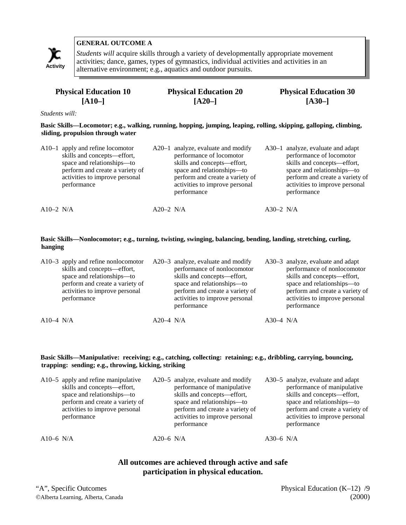

*Students will* acquire skills through a variety of developmentally appropriate movement activities; dance, games, types of gymnastics, individual activities and activities in an alternative environment; e.g., aquatics and outdoor pursuits. **Activity**

| <b>Physical Education 10</b> | <b>Physical Education 20</b> | <b>Physical Education 30</b> |
|------------------------------|------------------------------|------------------------------|
| $ A10- $                     | $[A20-]$                     | $[A30-]$                     |

*Students will:*

**Basic Skills—Locomotor; e.g., walking, running, hopping, jumping, leaping, rolling, skipping, galloping, climbing, sliding, propulsion through water**

|              | $A10-1$ apply and refine locomotor<br>skills and concepts—effort,<br>space and relationships-to<br>perform and create a variety of<br>activities to improve personal<br>performance |             | $A20-1$ analyze, evaluate and modify<br>performance of locomotor<br>skills and concepts-effort,<br>space and relationships-to<br>perform and create a variety of<br>activities to improve personal<br>performance |             | A30-1 analyze, evaluate and adapt<br>performance of locomotor<br>skills and concepts-effort,<br>space and relationships-to<br>perform and create a variety of<br>activities to improve personal<br>performance |
|--------------|-------------------------------------------------------------------------------------------------------------------------------------------------------------------------------------|-------------|-------------------------------------------------------------------------------------------------------------------------------------------------------------------------------------------------------------------|-------------|----------------------------------------------------------------------------------------------------------------------------------------------------------------------------------------------------------------|
| A $10-2$ N/A |                                                                                                                                                                                     | $A20-2$ N/A |                                                                                                                                                                                                                   | $A30-2$ N/A |                                                                                                                                                                                                                |

#### **Basic Skills—Nonlocomotor; e.g., turning, twisting, swinging, balancing, bending, landing, stretching, curling, hanging**

|                        | A10–3 apply and refine nonlocomotor<br>skills and concepts—effort,<br>space and relationships—to<br>perform and create a variety of<br>activities to improve personal<br>performance |           | A20–3 analyze, evaluate and modify<br>performance of nonlocomotor<br>skills and concepts—effort,<br>space and relationships—to<br>perform and create a variety of<br>activities to improve personal<br>performance |             | A30–3 analyze, evaluate and adapt<br>performance of nonlocomotor<br>skills and concepts—effort,<br>space and relationships—to<br>perform and create a variety of<br>activities to improve personal<br>performance |
|------------------------|--------------------------------------------------------------------------------------------------------------------------------------------------------------------------------------|-----------|--------------------------------------------------------------------------------------------------------------------------------------------------------------------------------------------------------------------|-------------|-------------------------------------------------------------------------------------------------------------------------------------------------------------------------------------------------------------------|
| A <sub>10</sub> -4 N/A |                                                                                                                                                                                      | A20–4 N/A |                                                                                                                                                                                                                    | $A30-4$ N/A |                                                                                                                                                                                                                   |

#### **Basic Skills—Manipulative: receiving; e.g., catching, collecting: retaining; e.g., dribbling, carrying, bouncing, trapping: sending; e.g., throwing, kicking, striking**

|           | A10–5 apply and refine manipulative<br>skills and concepts—effort,<br>space and relationships-to<br>perform and create a variety of<br>activities to improve personal<br>performance |             | A20–5 analyze, evaluate and modify<br>performance of manipulative<br>skills and concepts—effort,<br>space and relationships—to<br>perform and create a variety of<br>activities to improve personal<br>performance |           | A30–5 analyze, evaluate and adapt<br>performance of manipulative<br>skills and concepts—effort,<br>space and relationships-to<br>perform and create a variety of<br>activities to improve personal<br>performance |
|-----------|--------------------------------------------------------------------------------------------------------------------------------------------------------------------------------------|-------------|--------------------------------------------------------------------------------------------------------------------------------------------------------------------------------------------------------------------|-----------|-------------------------------------------------------------------------------------------------------------------------------------------------------------------------------------------------------------------|
| A10-6 N/A |                                                                                                                                                                                      | $A20-6$ N/A |                                                                                                                                                                                                                    | A30-6 N/A |                                                                                                                                                                                                                   |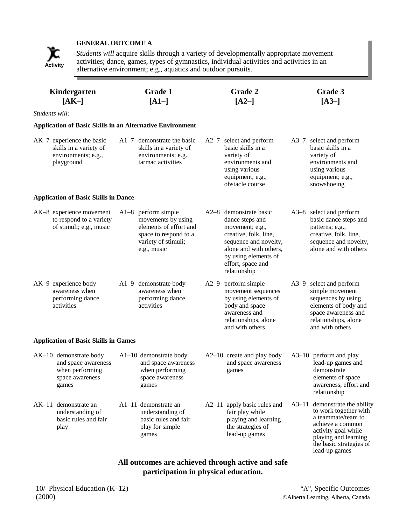

*Students will* acquire skills through a variety of developmentally appropriate movement activities; dance, games, types of gymnastics, individual activities and activities in an Activity activities, dance, games, types or gynmastics, mutudial activity alternative environment; e.g., aquatics and outdoor pursuits.

|                | Kindergarten<br>$[AK-]$                                                                      | <b>Grade 1</b><br>$[A1-]$                                                                                                            | Grade 2<br>$[A2-]$                                                                                                                                                                                    | Grade 3<br>$[A3-]$                                                                                                                                                                          |
|----------------|----------------------------------------------------------------------------------------------|--------------------------------------------------------------------------------------------------------------------------------------|-------------------------------------------------------------------------------------------------------------------------------------------------------------------------------------------------------|---------------------------------------------------------------------------------------------------------------------------------------------------------------------------------------------|
| Students will: |                                                                                              |                                                                                                                                      |                                                                                                                                                                                                       |                                                                                                                                                                                             |
|                | <b>Application of Basic Skills in an Alternative Environment</b>                             |                                                                                                                                      |                                                                                                                                                                                                       |                                                                                                                                                                                             |
|                | AK-7 experience the basic<br>skills in a variety of<br>environments; e.g.,<br>playground     | $A1-7$ demonstrate the basic<br>skills in a variety of<br>environments; e.g.,<br>tarmac activities                                   | A2-7 select and perform<br>basic skills in a<br>variety of<br>environments and<br>using various<br>equipment; e.g.,<br>obstacle course                                                                | A3–7 select and perform<br>basic skills in a<br>variety of<br>environments and<br>using various<br>equipment; e.g.,<br>snowshoeing                                                          |
|                | <b>Application of Basic Skills in Dance</b>                                                  |                                                                                                                                      |                                                                                                                                                                                                       |                                                                                                                                                                                             |
|                | AK-8 experience movement<br>to respond to a variety<br>of stimuli; e.g., music               | $A1-8$ perform simple<br>movements by using<br>elements of effort and<br>space to respond to a<br>variety of stimuli;<br>e.g., music | A2–8 demonstrate basic<br>dance steps and<br>movement; e.g.,<br>creative, folk, line,<br>sequence and novelty,<br>alone and with others,<br>by using elements of<br>effort, space and<br>relationship | A3-8 select and perform<br>basic dance steps and<br>patterns; e.g.,<br>creative, folk, line,<br>sequence and novelty,<br>alone and with others                                              |
|                | AK-9 experience body<br>awareness when<br>performing dance<br>activities                     | A1-9 demonstrate body<br>awareness when<br>performing dance<br>activities                                                            | A2-9 perform simple<br>movement sequences<br>by using elements of<br>body and space<br>awareness and<br>relationships, alone<br>and with others                                                       | A3-9 select and perform<br>simple movement<br>sequences by using<br>elements of body and<br>space awareness and<br>relationships, alone<br>and with others                                  |
|                | <b>Application of Basic Skills in Games</b>                                                  |                                                                                                                                      |                                                                                                                                                                                                       |                                                                                                                                                                                             |
|                | AK-10 demonstrate body<br>and space awareness<br>when performing<br>space awareness<br>games | $A1-10$ demonstrate body<br>and space awareness<br>when performing<br>space awareness<br>games                                       | $A2-10$ create and play body<br>and space awareness<br>games                                                                                                                                          | $A3-10$ perform and play<br>lead-up games and<br>demonstrate<br>elements of space<br>awareness, effort and<br>relationship                                                                  |
| AK–11          | demonstrate an<br>understanding of<br>basic rules and fair<br>play                           | A1-11 demonstrate an<br>understanding of<br>basic rules and fair<br>play for simple<br>games                                         | A2-11 apply basic rules and<br>fair play while<br>playing and learning<br>the strategies of<br>lead-up games                                                                                          | A3-11 demonstrate the ability<br>to work together with<br>a teammate/team to<br>achieve a common<br>activity goal while<br>playing and learning<br>the basic strategies of<br>lead-up games |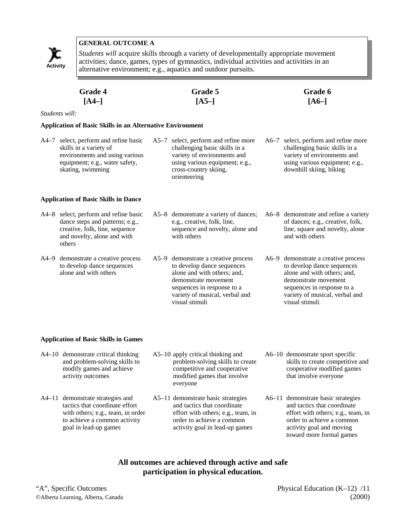

*Students will* acquire skills through a variety of developmentally appropriate movement activities; dance, games, types of gymnastics, individual activities and activities in an alternative environment; e.g., aquatics and outdoor pursuits. **Activity**

| <b>Grade 4</b> | Grade 5 | <b>Grade 6</b> |
|----------------|---------|----------------|
| $[A4-]$        | $[A5-]$ | $[A6-]$        |

*Students will:*

#### **Application of Basic Skills in an Alternative Environment**

| A4–7 select, perform and refine basic | A5–7 select, perform and refine more | A6–7 select, perform and refine more |
|---------------------------------------|--------------------------------------|--------------------------------------|
| skills in a variety of                | challenging basic skills in a        | challenging basic skills in a        |
| environments and using various        | variety of environments and          | variety of environments and          |
| equipment; e.g., water safety,        | using various equipment; e.g.,       | using various equipment; e.g.,       |
| skating, swimming                     | cross-country skiing,                | downhill skiing, hiking              |
|                                       | orienteering                         |                                      |
|                                       |                                      |                                      |

#### **Application of Basic Skills in Dance**

| A4–8 select, perform and refine basic<br>dance steps and patterns; e.g.,<br>creative, folk, line, sequence<br>and novelty, alone and with<br>others | A5–8 demonstrate a variety of dances;<br>e.g., creative, folk, line,<br>sequence and novelty, alone and<br>with others                                                                   | A6–8 demonstrate and refine a variety<br>of dances; e.g., creative, folk,<br>line, square and novelty, alone<br>and with others                                                          |
|-----------------------------------------------------------------------------------------------------------------------------------------------------|------------------------------------------------------------------------------------------------------------------------------------------------------------------------------------------|------------------------------------------------------------------------------------------------------------------------------------------------------------------------------------------|
| A4–9 demonstrate a creative process<br>to develop dance sequences<br>alone and with others                                                          | A5–9 demonstrate a creative process<br>to develop dance sequences<br>alone and with others; and,<br>demonstrate movement<br>sequences in response to a<br>variety of musical, verbal and | A6–9 demonstrate a creative process<br>to develop dance sequences<br>alone and with others; and,<br>demonstrate movement<br>sequences in response to a<br>variety of musical, verbal and |

visual stimuli

#### **Application of Basic Skills in Games**

A4–10 demonstrate critical thinking and problem-solving skills to modify games and achieve activity outcomes

A4–11 demonstrate strategies and

tactics that coordinate effort

to achieve a common activity goal in lead-up games

- A5–10 apply critical thinking and problem-solving skills to create competitive and cooperative modified games that involve everyone
- with others; e.g., team, in order A5–11 demonstrate basic strategies and tactics that coordinate effort with others; e.g., team, in order to achieve a common activity goal in lead-up games
- A6–10 demonstrate sport specific skills to create competitive and cooperative modified games that involve everyone

visual stimuli

A6–11 demonstrate basic strategies and tactics that coordinate effort with others; e.g., team, in order to achieve a common activity goal and moving toward more formal games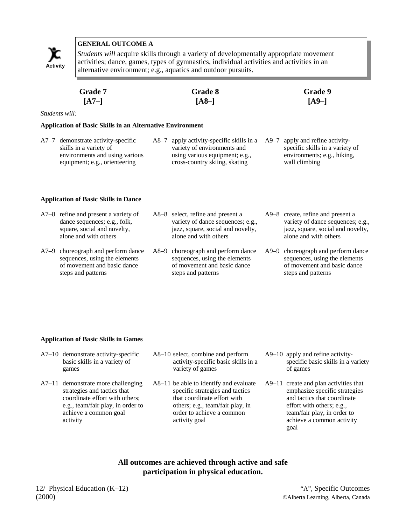

*Students will* acquire skills through a variety of developmentally appropriate movement activities; dance, games, types of gymnastics, individual activities and activities in an alternative environment; e.g., aquatics and outdoor pursuits.

| <b>Grade 7</b> | Grade 8 | <b>Grade</b> 9 |
|----------------|---------|----------------|
| $[A7-]$        | $[A8-]$ | $[A9-]$        |

*Students will:*

#### **Application of Basic Skills in an Alternative Environment**

- A7–7 demonstrate activity-specific skills in a variety of environments and using various equipment; e.g., orienteering
- A8–7 apply activity-specific skills in a variety of environments and using various equipment; e.g., cross-country skiing, skating
	- A9–7 apply and refine activityspecific skills in a variety of environments; e.g., hiking, wall climbing

#### **Application of Basic Skills in Dance**

sequences, using the elements of movement and basic dance

steps and patterns

| A7–8 refine and present a variety of<br>dance sequences; e.g., folk,<br>square, social and novelty,<br>alone and with others | A8–8 select, refine and present a<br>variety of dance sequences; e.g.,<br>jazz, square, social and novelty,<br>alone and with others | A9–8 create, refine and present a<br>variety of dance sequences; e.g.,<br>jazz, square, social and novelty,<br>alone and with others |
|------------------------------------------------------------------------------------------------------------------------------|--------------------------------------------------------------------------------------------------------------------------------------|--------------------------------------------------------------------------------------------------------------------------------------|
| A7–9 choreograph and perform dance                                                                                           | A8–9 choreograph and perform dance                                                                                                   | A9–9 choreograph and perform dance                                                                                                   |

steps and patterns

sequences, using the elements of movement and basic dance

sequences, using the elements of movement and basic dance steps and patterns

#### **Application of Basic Skills in Games**

- A7–10 demonstrate activity-specific basic skills in a variety of games
- A7–11 demonstrate more challenging strategies and tactics that coordinate effort with others; e.g., team/fair play, in order to achieve a common goal activity
- A8–10 select, combine and perform activity-specific basic skills in a variety of games
- A8–11 be able to identify and evaluate specific strategies and tactics that coordinate effort with others; e.g., team/fair play, in order to achieve a common activity goal
- A9–10 apply and refine activityspecific basic skills in a variety of games
- A9–11 create and plan activities that emphasize specific strategies and tactics that coordinate effort with others; e.g., team/fair play, in order to achieve a common activity goal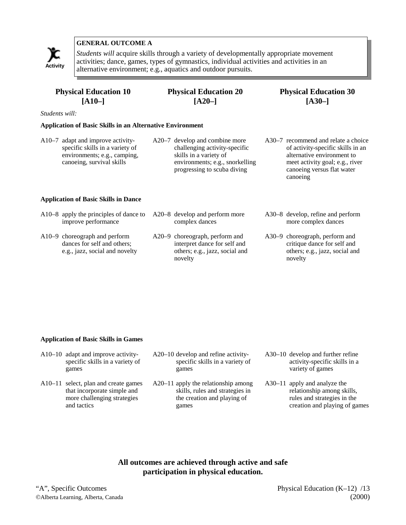

*Students will* acquire skills through a variety of developmentally appropriate movement activities; dance, games, types of gymnastics, individual activities and activities in an alternative environment; e.g., aquatics and outdoor pursuits. **Activity**

# **Physical Education 10 [A10–]**

# **Physical Education 20 [A20–]**

# **Physical Education 30 [A30–]**

*Students will:*

#### **Application of Basic Skills in an Alternative Environment**

- A10–7 adapt and improve activityspecific skills in a variety of environments; e.g., camping, canoeing, survival skills
- A20–7 develop and combine more challenging activity-specific skills in a variety of environments; e.g., snorkelling progressing to scuba diving
- A30–7 recommend and relate a choice of activity-specific skills in an alternative environment to meet activity goal; e.g., river canoeing versus flat water canoeing

#### **Application of Basic Skills in Dance**

| A10–8 apply the principles of dance to<br>improve performance                                  | A20–8 develop and perform more<br>complex dances                                                            | A30–8 develop, refine and perform<br>more complex dances                                                   |
|------------------------------------------------------------------------------------------------|-------------------------------------------------------------------------------------------------------------|------------------------------------------------------------------------------------------------------------|
| A10–9 choreograph and perform<br>dances for self and others;<br>e.g., jazz, social and novelty | A20–9 choreograph, perform and<br>interpret dance for self and<br>others; e.g., jazz, social and<br>novelty | A30–9 choreograph, perform and<br>critique dance for self and<br>others; e.g., jazz, social and<br>novelty |

#### **Application of Basic Skills in Games**

- A10–10 adapt and improve activityspecific skills in a variety of games
- A10–11 select, plan and create games that incorporate simple and more challenging strategies and tactics
- A20–10 develop and refine activityspecific skills in a variety of games
- A20–11 apply the relationship among skills, rules and strategies in the creation and playing of games
- A30–10 develop and further refine activity-specific skills in a variety of games
- A30–11 apply and analyze the relationship among skills, rules and strategies in the creation and playing of games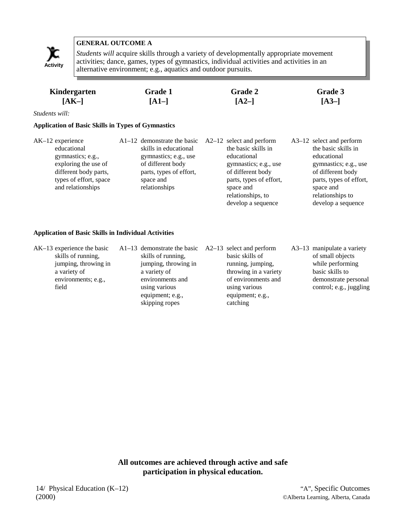

*Students will* acquire skills through a variety of developmentally appropriate movement activities; dance, games, types of gymnastics, individual activities and activities in an Activity activities, dance, games, types of gymnastics, multiplanary activity alternative environment; e.g., aquatics and outdoor pursuits.

| Kindergarten | <b>Grade 1</b> | <b>Grade 2</b> | Grade 3 |
|--------------|----------------|----------------|---------|
| $[AK-]$      | $[A1-]$        | $[A2-]$        | $[A3-]$ |

*Students will:*

#### **Application of Basic Skills in Types of Gymnastics**

| $AK-12$ experience<br>educational<br>gymnastics; e.g.,<br>exploring the use of<br>different body parts,<br>types of effort, space<br>and relationships | $A1-12$ demonstrate the basic<br>skills in educational<br>gymnastics; e.g., use<br>of different body<br>parts, types of effort,<br>space and<br>relationships | $A2-12$ select and perform<br>the basic skills in<br>educational<br>gymnastics; e.g., use<br>of different body<br>parts, types of effort,<br>space and<br>relationships, to<br>develop a sequence | A3-12 select and perform<br>the basic skills in<br>educational<br>gymnastics; e.g., use<br>of different body<br>parts, types of effort,<br>space and<br>relationships to<br>develop a sequence |
|--------------------------------------------------------------------------------------------------------------------------------------------------------|---------------------------------------------------------------------------------------------------------------------------------------------------------------|---------------------------------------------------------------------------------------------------------------------------------------------------------------------------------------------------|------------------------------------------------------------------------------------------------------------------------------------------------------------------------------------------------|
|--------------------------------------------------------------------------------------------------------------------------------------------------------|---------------------------------------------------------------------------------------------------------------------------------------------------------------|---------------------------------------------------------------------------------------------------------------------------------------------------------------------------------------------------|------------------------------------------------------------------------------------------------------------------------------------------------------------------------------------------------|

#### **Application of Basic Skills in Individual Activities**

| $AK-13$ experience the basic<br>skills of running,<br>jumping, throwing in<br>a variety of<br>environments; e.g.,<br>field | $A1-13$ demonstrate the basic $A2-13$ select and perform<br>skills of running,<br>jumping, throwing in<br>a variety of<br>environments and<br>using various<br>equipment; e.g.,<br>skipping ropes | basic skills of<br>running, jumping,<br>throwing in a variety<br>of environments and<br>using various<br>equipment; e.g.,<br>catching | $A3-13$ manipulate a variety<br>of small objects<br>while performing<br>basic skills to<br>demonstrate personal<br>control; e.g., juggling |
|----------------------------------------------------------------------------------------------------------------------------|---------------------------------------------------------------------------------------------------------------------------------------------------------------------------------------------------|---------------------------------------------------------------------------------------------------------------------------------------|--------------------------------------------------------------------------------------------------------------------------------------------|
|----------------------------------------------------------------------------------------------------------------------------|---------------------------------------------------------------------------------------------------------------------------------------------------------------------------------------------------|---------------------------------------------------------------------------------------------------------------------------------------|--------------------------------------------------------------------------------------------------------------------------------------------|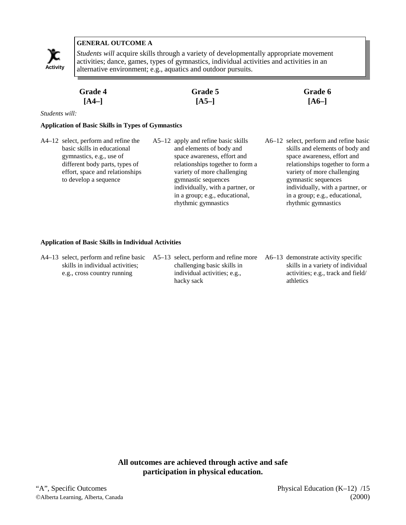

*Students will* acquire skills through a variety of developmentally appropriate movement activities; dance, games, types of gymnastics, individual activities and activities in an Activity alternative environment; e.g., aquatics and outdoor pursuits.

| <b>Grade 4</b> | Grade 5 | Grade 6 |
|----------------|---------|---------|
| $[A4-]$        | $[A5-]$ | $[A6-]$ |

*Students will:*

#### **Application of Basic Skills in Types of Gymnastics**

- A4–12 select, perform and refine the basic skills in educational gymnastics, e.g., use of different body parts, types of effort, space and relationships to develop a sequence
- A5–12 apply and refine basic skills and elements of body and space awareness, effort and relationships together to form a variety of more challenging gymnastic sequences individually, with a partner, or in a group; e.g., educational, rhythmic gymnastics
- A6–12 select, perform and refine basic skills and elements of body and space awareness, effort and relationships together to form a variety of more challenging gymnastic sequences individually, with a partner, or in a group; e.g., educational, rhythmic gymnastics

#### **Application of Basic Skills in Individual Activities**

| A4–13 select, perform and refine basic A5–13 select, perform and refine more |                              | A6–13 demonstrate activity specific |
|------------------------------------------------------------------------------|------------------------------|-------------------------------------|
| skills in individual activities;                                             | challenging basic skills in  | skills in a variety of individual   |
| e.g., cross country running                                                  | individual activities; e.g., | activities; e.g., track and field/  |
|                                                                              | hacky sack                   | athletics                           |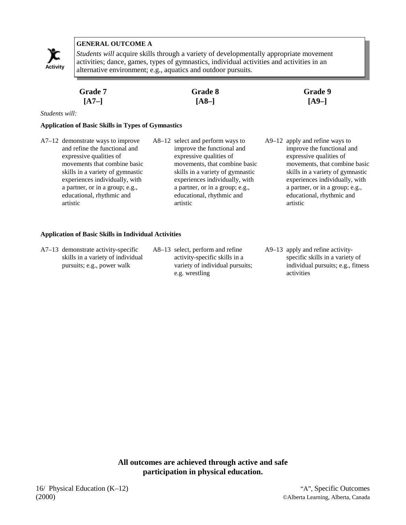

*Students will* acquire skills through a variety of developmentally appropriate movement activities; dance, games, types of gymnastics, individual activities and activities in an alternative environment; e.g., aquatics and outdoor pursuits. **Activity**

| Grade 7 | Grade 8 | <b>Grade 9</b> |
|---------|---------|----------------|
| $[A7-]$ | $[A8-]$ | $[A9-]$        |

*Students will:*

#### **Application of Basic Skills in Types of Gymnastics**

- A7–12 demonstrate ways to improve and refine the functional and expressive qualities of movements that combine basic skills in a variety of gymnastic experiences individually, with a partner, or in a group; e.g., educational, rhythmic and artistic
- A8–12 select and perform ways to improve the functional and expressive qualities of movements, that combine basic skills in a variety of gymnastic experiences individually, with a partner, or in a group; e.g., educational, rhythmic and artistic
- A9–12 apply and refine ways to improve the functional and expressive qualities of movements, that combine basic skills in a variety of gymnastic experiences individually, with a partner, or in a group; e.g., educational, rhythmic and artistic

#### **Application of Basic Skills in Individual Activities**

- A7–13 demonstrate activity-specific skills in a variety of individual pursuits; e.g., power walk
- A8–13 select, perform and refine activity-specific skills in a variety of individual pursuits; e.g. wrestling
- A9–13 apply and refine activityspecific skills in a variety of individual pursuits; e.g., fitness activities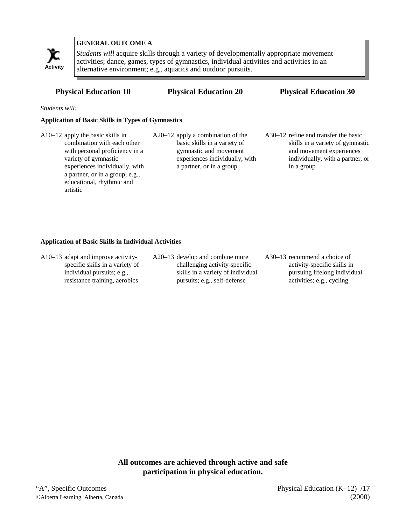

*Students will* acquire skills through a variety of developmentally appropriate movement activities; dance, games, types of gymnastics, individual activities and activities in an alternative environment; e.g., aquatics and outdoor pursuits. **Activity**

#### **Physical Education 10 Physical Education 20 Physical Education 30**

*Students will:*

#### **Application of Basic Skills in Types of Gymnastics**

- A10–12 apply the basic skills in combination with each other with personal proficiency in a variety of gymnastic experiences individually, with a partner, or in a group; e.g., educational, rhythmic and artistic
- A20–12 apply a combination of the basic skills in a variety of gymnastic and movement experiences individually, with a partner, or in a group
- A30–12 refine and transfer the basic skills in a variety of gymnastic and movement experiences individually, with a partner, or in a group

#### **Application of Basic Skills in Individual Activities**

| $A10-13$ adapt and improve activity- | $A20-13$ develop and combine more | $A30-13$ recommend a choice of |
|--------------------------------------|-----------------------------------|--------------------------------|
| specific skills in a variety of      | challenging activity-specific     | activity-specific skills in    |
| individual pursuits; e.g.,           | skills in a variety of individual | pursuing lifelong individual   |
| resistance training, aerobics        | pursuits; e.g., self-defense      | activities; e.g., cycling      |
|                                      |                                   |                                |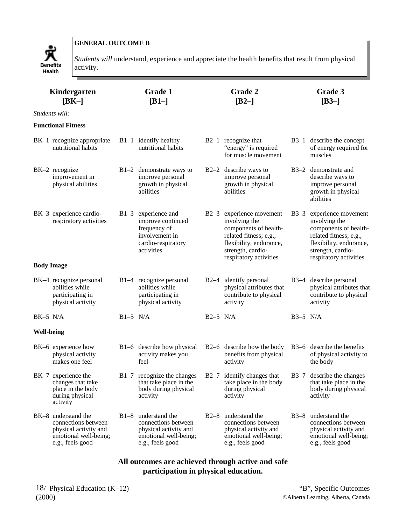

*Students will* understand, experience and appreciate the health benefits that result from physical

| Kindergarten<br>$[BK-]$<br>Students will: |                                                                                                                  | <b>Grade 1</b><br>$[B1-]$ | Grade 2<br>$[B2-]$                                                                                                 |            |                                                                                                                                                                        | Grade 3<br>$[B3-]$ |                                                                                                                                                                   |  |
|-------------------------------------------|------------------------------------------------------------------------------------------------------------------|---------------------------|--------------------------------------------------------------------------------------------------------------------|------------|------------------------------------------------------------------------------------------------------------------------------------------------------------------------|--------------------|-------------------------------------------------------------------------------------------------------------------------------------------------------------------|--|
|                                           | <b>Functional Fitness</b>                                                                                        |                           |                                                                                                                    |            |                                                                                                                                                                        |                    |                                                                                                                                                                   |  |
|                                           | BK-1 recognize appropriate<br>nutritional habits                                                                 |                           | $B1-1$ identify healthy<br>nutritional habits                                                                      |            | $B2-1$ recognize that<br>"energy" is required<br>for muscle movement                                                                                                   |                    | B3-1 describe the concept<br>of energy required for<br>muscles                                                                                                    |  |
|                                           | BK-2 recognize<br>improvement in<br>physical abilities                                                           |                           | $B1-2$ demonstrate ways to<br>improve personal<br>growth in physical<br>abilities                                  |            | B2-2 describe ways to<br>improve personal<br>growth in physical<br>abilities                                                                                           |                    | B3-2 demonstrate and<br>describe ways to<br>improve personal<br>growth in physical<br>abilities                                                                   |  |
|                                           | BK-3 experience cardio-<br>respiratory activities                                                                |                           | $B1-3$ experience and<br>improve continued<br>frequency of<br>involvement in<br>cardio-respiratory<br>activities   |            | B2-3 experience movement<br>involving the<br>components of health-<br>related fitness; e.g.,<br>flexibility, endurance,<br>strength, cardio-<br>respiratory activities | $B3-3$             | experience movement<br>involving the<br>components of health-<br>related fitness; e.g.,<br>flexibility, endurance,<br>strength, cardio-<br>respiratory activities |  |
|                                           | <b>Body Image</b>                                                                                                |                           |                                                                                                                    |            |                                                                                                                                                                        |                    |                                                                                                                                                                   |  |
|                                           | BK-4 recognize personal<br>abilities while<br>participating in<br>physical activity                              |                           | B1-4 recognize personal<br>abilities while<br>participating in<br>physical activity                                |            | B2-4 identify personal<br>physical attributes that<br>contribute to physical<br>activity                                                                               |                    | B3-4 describe personal<br>physical attributes that<br>contribute to physical<br>activity                                                                          |  |
| $BK-5$ N/A                                |                                                                                                                  | $B1-5$ N/A                |                                                                                                                    | $B2-5$ N/A |                                                                                                                                                                        | $B3-5$ N/A         |                                                                                                                                                                   |  |
| <b>Well-being</b>                         |                                                                                                                  |                           |                                                                                                                    |            |                                                                                                                                                                        |                    |                                                                                                                                                                   |  |
|                                           | BK-6 experience how<br>physical activity<br>makes one feel                                                       |                           | B1-6 describe how physical<br>activity makes you<br>feel                                                           |            | B2–6 describe how the body<br>benefits from physical<br>activity                                                                                                       |                    | B3-6 describe the benefits<br>of physical activity to<br>the body                                                                                                 |  |
|                                           | BK-7 experience the<br>changes that take<br>place in the body<br>during physical<br>activity                     |                           | B1-7 recognize the changes<br>that take place in the<br>body during physical<br>activity                           |            | B2-7 identify changes that<br>take place in the body<br>during physical<br>activity                                                                                    |                    | B3-7 describe the changes<br>that take place in the<br>body during physical<br>activity                                                                           |  |
|                                           | BK-8 understand the<br>connections between<br>physical activity and<br>emotional well-being;<br>e.g., feels good |                           | $B1-8$ understand the<br>connections between<br>physical activity and<br>emotional well-being;<br>e.g., feels good | $B2-8$     | understand the<br>connections between<br>physical activity and<br>emotional well-being;<br>e.g., feels good                                                            |                    | B3-8 understand the<br>connections between<br>physical activity and<br>emotional well-being;<br>e.g., feels good                                                  |  |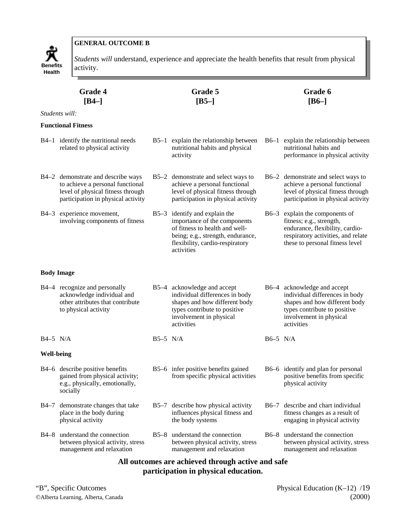

*Students will* understand, experience and appreciate the health benefits that result from physical

|                   | <b>Grade 4</b><br>$[B4-]$                                                                                                                         |            | Grade 5<br>$[B5-]$                                                                                                                                                                    |          | Grade 6<br>$[B6-]$                                                                                                                                                      |  |  |  |  |
|-------------------|---------------------------------------------------------------------------------------------------------------------------------------------------|------------|---------------------------------------------------------------------------------------------------------------------------------------------------------------------------------------|----------|-------------------------------------------------------------------------------------------------------------------------------------------------------------------------|--|--|--|--|
|                   | Students will:                                                                                                                                    |            |                                                                                                                                                                                       |          |                                                                                                                                                                         |  |  |  |  |
|                   | <b>Functional Fitness</b>                                                                                                                         |            |                                                                                                                                                                                       |          |                                                                                                                                                                         |  |  |  |  |
|                   | B4-1 identify the nutritional needs<br>related to physical activity                                                                               |            | B5-1 explain the relationship between<br>nutritional habits and physical<br>activity                                                                                                  |          | B6-1 explain the relationship between<br>nutritional habits and<br>performance in physical activity                                                                     |  |  |  |  |
|                   | B4-2 demonstrate and describe ways<br>to achieve a personal functional<br>level of physical fitness through<br>participation in physical activity |            | B5-2 demonstrate and select ways to<br>achieve a personal functional<br>level of physical fitness through<br>participation in physical activity                                       |          | B6-2 demonstrate and select ways to<br>achieve a personal functional<br>level of physical fitness through<br>participation in physical activity                         |  |  |  |  |
| $B4-3$            | experience movement,<br>involving components of fitness                                                                                           |            | B5-3 identify and explain the<br>importance of the components<br>of fitness to health and well-<br>being; e.g., strength, endurance,<br>flexibility, cardio-respiratory<br>activities |          | B6-3 explain the components of<br>fitness; e.g., strength,<br>endurance, flexibility, cardio-<br>respiratory activities, and relate<br>these to personal fitness level  |  |  |  |  |
|                   | <b>Body Image</b>                                                                                                                                 |            |                                                                                                                                                                                       |          |                                                                                                                                                                         |  |  |  |  |
|                   | B4-4 recognize and personally<br>acknowledge individual and<br>other attributes that contribute<br>to physical activity                           |            | B5-4 acknowledge and accept<br>individual differences in body<br>shapes and how different body<br>types contribute to positive<br>involvement in physical<br>activities               |          | B6-4 acknowledge and accept<br>individual differences in body<br>shapes and how different body<br>types contribute to positive<br>involvement in physical<br>activities |  |  |  |  |
| $B4-5$ N/A        |                                                                                                                                                   | $B5-5$ N/A |                                                                                                                                                                                       | B6-5 N/A |                                                                                                                                                                         |  |  |  |  |
| <b>Well-being</b> |                                                                                                                                                   |            |                                                                                                                                                                                       |          |                                                                                                                                                                         |  |  |  |  |
|                   | B4-6 describe positive benefits<br>gained from physical activity;<br>e.g., physically, emotionally,<br>socially                                   |            | B5-6 infer positive benefits gained<br>from specific physical activities                                                                                                              |          | B6–6 identify and plan for personal<br>positive benefits from specific<br>physical activity                                                                             |  |  |  |  |
| B4–7              | demonstrate changes that take<br>place in the body during<br>physical activity                                                                    |            | B5-7 describe how physical activity<br>influences physical fitness and<br>the body systems                                                                                            |          | B6–7 describe and chart individual<br>fitness changes as a result of<br>engaging in physical activity                                                                   |  |  |  |  |
| B4–8              | understand the connection<br>between physical activity, stress<br>management and relaxation                                                       |            | B5–8 understand the connection<br>between physical activity, stress<br>management and relaxation                                                                                      |          | B6-8 understand the connection<br>between physical activity, stress<br>management and relaxation                                                                        |  |  |  |  |
|                   | All outcomes are achieved through active and safe<br>participation in physical education.                                                         |            |                                                                                                                                                                                       |          |                                                                                                                                                                         |  |  |  |  |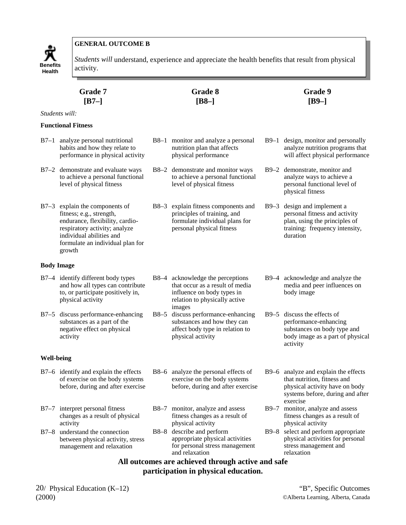

*Students will* understand, experience and appreciate the health benefits that result from physical

|            | Grade 7<br>$[B7-]$                                                                                                                                                                                       | Grade 8<br>$[B8-]$ |                                                                                                                                              |  | Grade 9<br>$[B9-]$                                                                                                                                    |  |  |  |  |
|------------|----------------------------------------------------------------------------------------------------------------------------------------------------------------------------------------------------------|--------------------|----------------------------------------------------------------------------------------------------------------------------------------------|--|-------------------------------------------------------------------------------------------------------------------------------------------------------|--|--|--|--|
|            | Students will:                                                                                                                                                                                           |                    |                                                                                                                                              |  |                                                                                                                                                       |  |  |  |  |
|            | <b>Functional Fitness</b>                                                                                                                                                                                |                    |                                                                                                                                              |  |                                                                                                                                                       |  |  |  |  |
|            | B7-1 analyze personal nutritional<br>habits and how they relate to<br>performance in physical activity                                                                                                   |                    | B8-1 monitor and analyze a personal<br>nutrition plan that affects<br>physical performance                                                   |  | B9-1 design, monitor and personally<br>analyze nutrition programs that<br>will affect physical performance                                            |  |  |  |  |
|            | B7-2 demonstrate and evaluate ways<br>to achieve a personal functional<br>level of physical fitness                                                                                                      |                    | B8-2 demonstrate and monitor ways<br>to achieve a personal functional<br>level of physical fitness                                           |  | B9-2 demonstrate, monitor and<br>analyze ways to achieve a<br>personal functional level of<br>physical fitness                                        |  |  |  |  |
|            | B7-3 explain the components of<br>fitness; e.g., strength,<br>endurance, flexibility, cardio-<br>respiratory activity; analyze<br>individual abilities and<br>formulate an individual plan for<br>growth |                    | B8-3 explain fitness components and<br>principles of training, and<br>formulate individual plans for<br>personal physical fitness            |  | B9-3 design and implement a<br>personal fitness and activity<br>plan, using the principles of<br>training: frequency intensity,<br>duration           |  |  |  |  |
|            | Body Image                                                                                                                                                                                               |                    |                                                                                                                                              |  |                                                                                                                                                       |  |  |  |  |
|            | B7-4 identify different body types<br>and how all types can contribute<br>to, or participate positively in,<br>physical activity                                                                         |                    | B8-4 acknowledge the perceptions<br>that occur as a result of media<br>influence on body types in<br>relation to physically active<br>images |  | B9-4 acknowledge and analyze the<br>media and peer influences on<br>body image                                                                        |  |  |  |  |
|            | B7-5 discuss performance-enhancing<br>substances as a part of the<br>negative effect on physical<br>activity                                                                                             |                    | B8-5 discuss performance-enhancing<br>substances and how they can<br>affect body type in relation to<br>physical activity                    |  | B9-5 discuss the effects of<br>performance-enhancing<br>substances on body type and<br>body image as a part of physical<br>activity                   |  |  |  |  |
| Well-being |                                                                                                                                                                                                          |                    |                                                                                                                                              |  |                                                                                                                                                       |  |  |  |  |
|            | B7-6 identify and explain the effects<br>of exercise on the body systems<br>before, during and after exercise                                                                                            |                    | B8–6 analyze the personal effects of<br>exercise on the body systems<br>before, during and after exercise                                    |  | B9–6 analyze and explain the effects<br>that nutrition, fitness and<br>physical activity have on body<br>systems before, during and after<br>exercise |  |  |  |  |
|            | B7-7 interpret personal fitness<br>changes as a result of physical<br>activity                                                                                                                           |                    | B8-7 monitor, analyze and assess<br>fitness changes as a result of<br>physical activity                                                      |  | B9-7 monitor, analyze and assess<br>fitness changes as a result of<br>physical activity                                                               |  |  |  |  |
|            | B7-8 understand the connection<br>between physical activity, stress<br>management and relaxation                                                                                                         |                    | B8-8 describe and perform<br>appropriate physical activities<br>for personal stress management<br>and relaxation                             |  | B9-8 select and perform appropriate<br>physical activities for personal<br>stress management and<br>relaxation                                        |  |  |  |  |
|            | All outcomes are achieved through active and safe                                                                                                                                                        |                    |                                                                                                                                              |  |                                                                                                                                                       |  |  |  |  |

# **participation in physical education.**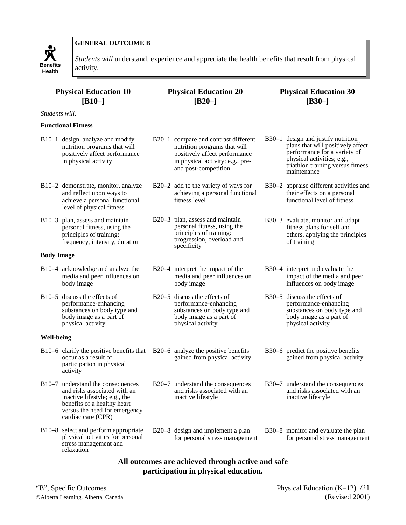

*Students will* understand, experience and appreciate the health benefits that result from physical

## **Physical Education 10 [B10–]**

*Students will:*

#### **Functional Fitness**

- B10–1 design, analyze and modify nutrition programs that will positively affect performance in physical activity
- B10–2 demonstrate, monitor, analyze and reflect upon ways to achieve a personal functional level of physical fitness
- B10–3 plan, assess and maintain personal fitness, using the principles of training: frequency, intensity, duration

#### **Body Image**

- B10–4 acknowledge and analyze the media and peer influences on body image
- B10–5 discuss the effects of performance-enhancing substances on body type and body image as a part of physical activity

#### **Well-being**

- B10–6 clarify the positive benefits that B20–6 analyze the positive benefits occur as a result of participation in physical activity
- B10–7 understand the consequences and risks associated with an inactive lifestyle; e.g., the benefits of a healthy heart versus the need for emergency cardiac care (CPR)
- B10–8 select and perform appropriate physical activities for personal stress management and relaxation

# **Physical Education 20 [B20–]**

- B20–1 compare and contrast different nutrition programs that will positively affect performance in physical activity; e.g., preand post-competition
- B20–2 add to the variety of ways for achieving a personal functional fitness level
- B20–3 plan, assess and maintain personal fitness, using the principles of training: progression, overload and specificity
- B20–4 interpret the impact of the media and peer influences on body image
- B20–5 discuss the effects of performance-enhancing substances on body type and body image as a part of physical activity
- gained from physical activity

B20–7 understand the consequences and risks associated with an inactive lifestyle

B20–8 design and implement a plan for personal stress management

#### **Physical Education 30 [B30–]**

- B30–1 design and justify nutrition plans that will positively affect performance for a variety of physical activities; e.g., triathlon training versus fitness maintenance
- B30–2 appraise different activities and their effects on a personal functional level of fitness
- B30–3 evaluate, monitor and adapt fitness plans for self and others, applying the principles of training
- B30–4 interpret and evaluate the impact of the media and peer influences on body image
- B30–5 discuss the effects of performance-enhancing substances on body type and body image as a part of physical activity
- B30–6 predict the positive benefits gained from physical activity
- B30–7 understand the consequences and risks associated with an inactive lifestyle
- B30–8 monitor and evaluate the plan for personal stress management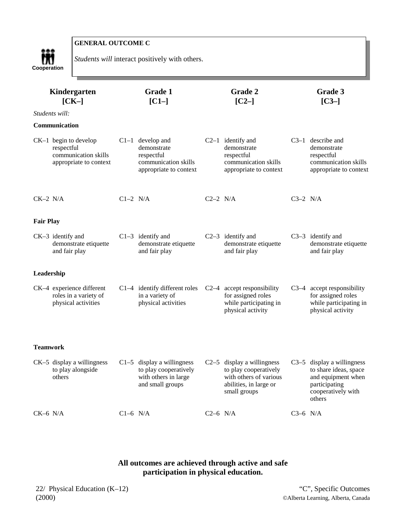

*Students will* interact positively with others.

|                  | Kindergarten<br><b>Grade 1</b><br>$[CI-]$<br>$[CK-]$                                    |            | Grade 2<br>$[C2-]$                                                                                |            | Grade 3<br>$[C3-]$                                                                                                        |            |                                                                                                                              |
|------------------|-----------------------------------------------------------------------------------------|------------|---------------------------------------------------------------------------------------------------|------------|---------------------------------------------------------------------------------------------------------------------------|------------|------------------------------------------------------------------------------------------------------------------------------|
|                  | Students will:                                                                          |            |                                                                                                   |            |                                                                                                                           |            |                                                                                                                              |
|                  | <b>Communication</b>                                                                    |            |                                                                                                   |            |                                                                                                                           |            |                                                                                                                              |
|                  | $CK-1$ begin to develop<br>respectful<br>communication skills<br>appropriate to context |            | $C1-1$ develop and<br>demonstrate<br>respectful<br>communication skills<br>appropriate to context |            | $C2-1$ identify and<br>demonstrate<br>respectful<br>communication skills<br>appropriate to context                        |            | $C3-1$ describe and<br>demonstrate<br>respectful<br>communication skills<br>appropriate to context                           |
| $CK-2$ N/A       |                                                                                         | $C1-2$ N/A |                                                                                                   | $C2-2$ N/A |                                                                                                                           | $C3-2$ N/A |                                                                                                                              |
| <b>Fair Play</b> |                                                                                         |            |                                                                                                   |            |                                                                                                                           |            |                                                                                                                              |
|                  | CK-3 identify and<br>demonstrate etiquette<br>and fair play                             |            | $C1-3$ identify and<br>demonstrate etiquette<br>and fair play                                     |            | $C2-3$ identify and<br>demonstrate etiquette<br>and fair play                                                             |            | C3-3 identify and<br>demonstrate etiquette<br>and fair play                                                                  |
| Leadership       |                                                                                         |            |                                                                                                   |            |                                                                                                                           |            |                                                                                                                              |
|                  | CK-4 experience different<br>roles in a variety of<br>physical activities               |            | $C1-4$ identify different roles<br>in a variety of<br>physical activities                         |            | C2-4 accept responsibility<br>for assigned roles<br>while participating in<br>physical activity                           |            | C3-4 accept responsibility<br>for assigned roles<br>while participating in<br>physical activity                              |
| <b>Teamwork</b>  |                                                                                         |            |                                                                                                   |            |                                                                                                                           |            |                                                                                                                              |
|                  | $CK-5$ display a willingness<br>to play alongside<br>others                             |            | $C1-5$ display a willingness<br>to play cooperatively<br>with others in large<br>and small groups |            | $C2-5$ display a willingness<br>to play cooperatively<br>with others of various<br>abilities, in large or<br>small groups |            | $C3-5$ display a willingness<br>to share ideas, space<br>and equipment when<br>participating<br>cooperatively with<br>others |
| $CK-6$ N/A       |                                                                                         | $C1-6$ N/A |                                                                                                   | $C2-6$ N/A |                                                                                                                           | $C3-6$ N/A |                                                                                                                              |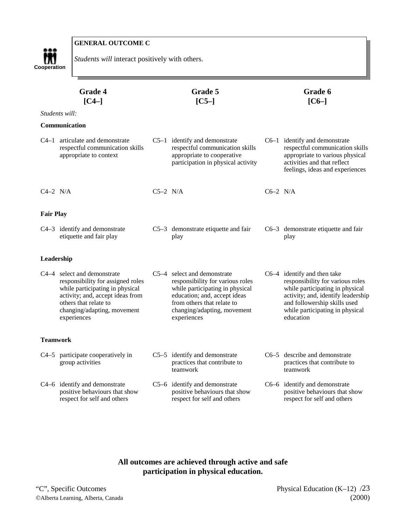

*Students will* interact positively with others.

| Grade 4<br>$\left[ C4-\right]$ |                                                                                                                                                                                                                |            | Grade 5<br>$[C5-]$                                                                                                                                                                                             |            | Grade 6<br>$[CG-]$                                                                                                                                                                                                       |
|--------------------------------|----------------------------------------------------------------------------------------------------------------------------------------------------------------------------------------------------------------|------------|----------------------------------------------------------------------------------------------------------------------------------------------------------------------------------------------------------------|------------|--------------------------------------------------------------------------------------------------------------------------------------------------------------------------------------------------------------------------|
|                                | Students will:                                                                                                                                                                                                 |            |                                                                                                                                                                                                                |            |                                                                                                                                                                                                                          |
|                                | Communication                                                                                                                                                                                                  |            |                                                                                                                                                                                                                |            |                                                                                                                                                                                                                          |
|                                | C4-1 articulate and demonstrate<br>respectful communication skills<br>appropriate to context                                                                                                                   |            | $C5-1$ identify and demonstrate<br>respectful communication skills<br>appropriate to cooperative<br>participation in physical activity                                                                         |            | $C6-1$ identify and demonstrate<br>respectful communication skills<br>appropriate to various physical<br>activities and that reflect<br>feelings, ideas and experiences                                                  |
| $C4-2$ N/A                     |                                                                                                                                                                                                                | $C5-2$ N/A |                                                                                                                                                                                                                | $C6-2$ N/A |                                                                                                                                                                                                                          |
| Fair Play                      |                                                                                                                                                                                                                |            |                                                                                                                                                                                                                |            |                                                                                                                                                                                                                          |
|                                | C4-3 identify and demonstrate<br>etiquette and fair play                                                                                                                                                       |            | $C5-3$ demonstrate etiquette and fair<br>play                                                                                                                                                                  |            | $C6-3$ demonstrate etiquette and fair<br>play                                                                                                                                                                            |
| Leadership                     |                                                                                                                                                                                                                |            |                                                                                                                                                                                                                |            |                                                                                                                                                                                                                          |
|                                | C4-4 select and demonstrate<br>responsibility for assigned roles<br>while participating in physical<br>activity; and, accept ideas from<br>others that relate to<br>changing/adapting, movement<br>experiences |            | C5-4 select and demonstrate<br>responsibility for various roles<br>while participating in physical<br>education; and, accept ideas<br>from others that relate to<br>changing/adapting, movement<br>experiences |            | C6-4 identify and then take<br>responsibility for various roles<br>while participating in physical<br>activity; and, identify leadership<br>and followership skills used<br>while participating in physical<br>education |
| Teamwork                       |                                                                                                                                                                                                                |            |                                                                                                                                                                                                                |            |                                                                                                                                                                                                                          |
|                                | C4-5 participate cooperatively in<br>group activities                                                                                                                                                          |            | $C5-5$ identify and demonstrate<br>practices that contribute to<br>teamwork                                                                                                                                    |            | C6-5 describe and demonstrate<br>practices that contribute to<br>teamwork                                                                                                                                                |
|                                | C4-6 identify and demonstrate<br>positive behaviours that show<br>respect for self and others                                                                                                                  |            | C5-6 identify and demonstrate<br>positive behaviours that show<br>respect for self and others                                                                                                                  |            | C6–6 identify and demonstrate<br>positive behaviours that show<br>respect for self and others                                                                                                                            |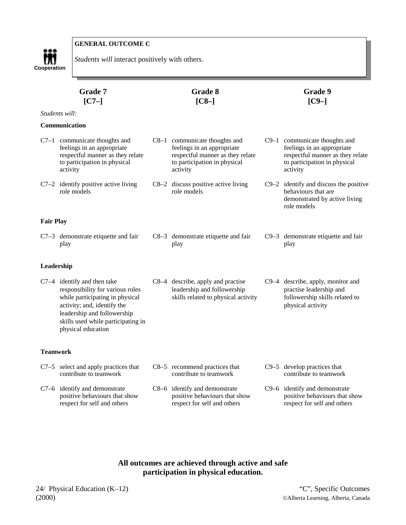# m **Cooperation**

**GENERAL OUTCOME C**

*Students will* interact positively with others.

| Grade 7<br>$[C7-]$ |                                                                                                                                                                                                                                |  | Grade 8<br>$[C8-]$                                                                                                                            | Grade 9<br>$[C9-]$ |                                                                                                                                               |
|--------------------|--------------------------------------------------------------------------------------------------------------------------------------------------------------------------------------------------------------------------------|--|-----------------------------------------------------------------------------------------------------------------------------------------------|--------------------|-----------------------------------------------------------------------------------------------------------------------------------------------|
|                    | Students will:                                                                                                                                                                                                                 |  |                                                                                                                                               |                    |                                                                                                                                               |
|                    | Communication                                                                                                                                                                                                                  |  |                                                                                                                                               |                    |                                                                                                                                               |
|                    | $C7-1$ communicate thoughts and<br>feelings in an appropriate<br>respectful manner as they relate<br>to participation in physical<br>activity                                                                                  |  | $C8-1$ communicate thoughts and<br>feelings in an appropriate<br>respectful manner as they relate<br>to participation in physical<br>activity |                    | $C9-1$ communicate thoughts and<br>feelings in an appropriate<br>respectful manner as they relate<br>to participation in physical<br>activity |
|                    | $C7-2$ identify positive active living<br>role models                                                                                                                                                                          |  | C8-2 discuss positive active living<br>role models                                                                                            |                    | $C9-2$ identify and discuss the positive<br>behaviours that are<br>demonstrated by active living<br>role models                               |
| <b>Fair Play</b>   |                                                                                                                                                                                                                                |  |                                                                                                                                               |                    |                                                                                                                                               |
|                    | $C7-3$ demonstrate etiquette and fair<br>play                                                                                                                                                                                  |  | C8-3 demonstrate etiquette and fair<br>play                                                                                                   |                    | C9-3 demonstrate etiquette and fair<br>play                                                                                                   |
| Leadership         |                                                                                                                                                                                                                                |  |                                                                                                                                               |                    |                                                                                                                                               |
|                    | $C7-4$ identify and then take<br>responsibility for various roles<br>while participating in physical<br>activity; and, identify the<br>leadership and followership<br>skills used while participating in<br>physical education |  | C8-4 describe, apply and practise<br>leadership and followership<br>skills related to physical activity                                       |                    | C9-4 describe, apply, monitor and<br>practise leadership and<br>followership skills related to<br>physical activity                           |
| Teamwork           |                                                                                                                                                                                                                                |  |                                                                                                                                               |                    |                                                                                                                                               |
|                    | $C7-5$ select and apply practices that<br>contribute to teamwork                                                                                                                                                               |  | C8-5 recommend practices that<br>contribute to teamwork                                                                                       |                    | $C9-5$ develop practices that<br>contribute to teamwork                                                                                       |
|                    | C7-6 identify and demonstrate<br>positive behaviours that show<br>respect for self and others                                                                                                                                  |  | C8-6 identify and demonstrate<br>positive behaviours that show<br>respect for self and others                                                 |                    | C9-6 identify and demonstrate<br>positive behaviours that show<br>respect for self and others                                                 |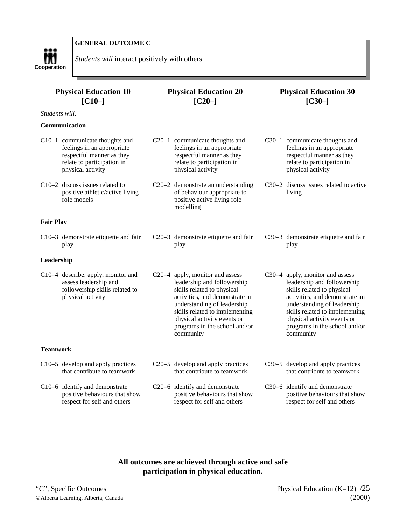



*Students will* interact positively with others.

| <b>Physical Education 10</b><br>$[CI0-]$                                                                                                     | <b>Physical Education 20</b><br>$[C20-]$                                                                                                                                                                                                                                     | <b>Physical Education 30</b><br>$[C30-]$                                                                                                                                                                                                                                     |  |  |
|----------------------------------------------------------------------------------------------------------------------------------------------|------------------------------------------------------------------------------------------------------------------------------------------------------------------------------------------------------------------------------------------------------------------------------|------------------------------------------------------------------------------------------------------------------------------------------------------------------------------------------------------------------------------------------------------------------------------|--|--|
| Students will:                                                                                                                               |                                                                                                                                                                                                                                                                              |                                                                                                                                                                                                                                                                              |  |  |
| Communication                                                                                                                                |                                                                                                                                                                                                                                                                              |                                                                                                                                                                                                                                                                              |  |  |
| C10-1 communicate thoughts and<br>feelings in an appropriate<br>respectful manner as they<br>relate to participation in<br>physical activity | C20-1 communicate thoughts and<br>feelings in an appropriate<br>respectful manner as they<br>relate to participation in<br>physical activity                                                                                                                                 | C30-1 communicate thoughts and<br>feelings in an appropriate<br>respectful manner as they<br>relate to participation in<br>physical activity                                                                                                                                 |  |  |
| $C10-2$ discuss issues related to<br>positive athletic/active living<br>role models                                                          | C20-2 demonstrate an understanding<br>of behaviour appropriate to<br>positive active living role<br>modelling                                                                                                                                                                | C30–2 discuss issues related to active<br>living                                                                                                                                                                                                                             |  |  |
| <b>Fair Play</b>                                                                                                                             |                                                                                                                                                                                                                                                                              |                                                                                                                                                                                                                                                                              |  |  |
| C10-3 demonstrate etiquette and fair<br>play                                                                                                 | C <sub>20</sub> -3 demonstrate etiquette and fair<br>play                                                                                                                                                                                                                    | C30–3 demonstrate etiquette and fair<br>play                                                                                                                                                                                                                                 |  |  |
| Leadership                                                                                                                                   |                                                                                                                                                                                                                                                                              |                                                                                                                                                                                                                                                                              |  |  |
| C10-4 describe, apply, monitor and<br>assess leadership and<br>followership skills related to<br>physical activity                           | C20-4 apply, monitor and assess<br>leadership and followership<br>skills related to physical<br>activities, and demonstrate an<br>understanding of leadership<br>skills related to implementing<br>physical activity events or<br>programs in the school and/or<br>community | C30-4 apply, monitor and assess<br>leadership and followership<br>skills related to physical<br>activities, and demonstrate an<br>understanding of leadership<br>skills related to implementing<br>physical activity events or<br>programs in the school and/or<br>community |  |  |
| <b>Teamwork</b>                                                                                                                              |                                                                                                                                                                                                                                                                              |                                                                                                                                                                                                                                                                              |  |  |
| C10-5 develop and apply practices<br>that contribute to teamwork                                                                             | C <sub>20</sub> –5 develop and apply practices<br>that contribute to teamwork                                                                                                                                                                                                | C30-5 develop and apply practices<br>that contribute to teamwork                                                                                                                                                                                                             |  |  |
| C10-6 identify and demonstrate<br>positive behaviours that show<br>respect for self and others                                               | C20-6 identify and demonstrate<br>positive behaviours that show<br>respect for self and others                                                                                                                                                                               | C30-6 identify and demonstrate<br>positive behaviours that show<br>respect for self and others                                                                                                                                                                               |  |  |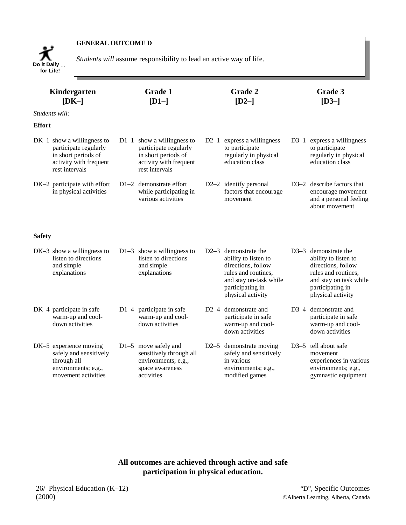

**Do it Daily**  $\ldots$  *Students will* assume responsibility to lead an active way of life.

|               | Kindergarten<br><b>Grade 1</b><br>$[DK-]$<br>$[D1-]$                                                                     |  |                                                                                                                          |        | Grade 2<br>$[D2-]$                                                                                                                                             | Grade 3<br>$[D3-]$ |                                                                                                                                                                |  |
|---------------|--------------------------------------------------------------------------------------------------------------------------|--|--------------------------------------------------------------------------------------------------------------------------|--------|----------------------------------------------------------------------------------------------------------------------------------------------------------------|--------------------|----------------------------------------------------------------------------------------------------------------------------------------------------------------|--|
|               | Students will:                                                                                                           |  |                                                                                                                          |        |                                                                                                                                                                |                    |                                                                                                                                                                |  |
| <b>Effort</b> |                                                                                                                          |  |                                                                                                                          |        |                                                                                                                                                                |                    |                                                                                                                                                                |  |
|               | $DK-1$ show a willingness to<br>participate regularly<br>in short periods of<br>activity with frequent<br>rest intervals |  | $D1-1$ show a willingness to<br>participate regularly<br>in short periods of<br>activity with frequent<br>rest intervals | $D2-1$ | express a willingness<br>to participate<br>regularly in physical<br>education class                                                                            |                    | D3-1 express a willingness<br>to participate<br>regularly in physical<br>education class                                                                       |  |
|               | DK-2 participate with effort<br>in physical activities                                                                   |  | D1-2 demonstrate effort<br>while participating in<br>various activities                                                  |        | D2-2 identify personal<br>factors that encourage<br>movement                                                                                                   |                    | D3-2 describe factors that<br>encourage movement<br>and a personal feeling<br>about movement                                                                   |  |
| <b>Safety</b> |                                                                                                                          |  |                                                                                                                          |        |                                                                                                                                                                |                    |                                                                                                                                                                |  |
|               | $DK-3$ show a willingness to<br>listen to directions<br>and simple<br>explanations                                       |  | $D1-3$ show a willingness to<br>listen to directions<br>and simple<br>explanations                                       |        | $D2-3$ demonstrate the<br>ability to listen to<br>directions, follow<br>rules and routines,<br>and stay on-task while<br>participating in<br>physical activity |                    | $D3-3$ demonstrate the<br>ability to listen to<br>directions, follow<br>rules and routines,<br>and stay on task while<br>participating in<br>physical activity |  |
|               | DK-4 participate in safe<br>warm-up and cool-<br>down activities                                                         |  | D1-4 participate in safe<br>warm-up and cool-<br>down activities                                                         | $D2-4$ | demonstrate and<br>participate in safe<br>warm-up and cool-<br>down activities                                                                                 |                    | D3-4 demonstrate and<br>participate in safe<br>warm-up and cool-<br>down activities                                                                            |  |
|               | DK-5 experience moving<br>safely and sensitively<br>through all<br>environments; e.g.,<br>movement activities            |  | $D1-5$ move safely and<br>sensitively through all<br>environments; e.g.,<br>space awareness<br>activities                |        | D2-5 demonstrate moving<br>safely and sensitively<br>in various<br>environments; e.g.,<br>modified games                                                       |                    | D3-5 tell about safe<br>movement<br>experiences in various<br>environments; e.g.,<br>gymnastic equipment                                                       |  |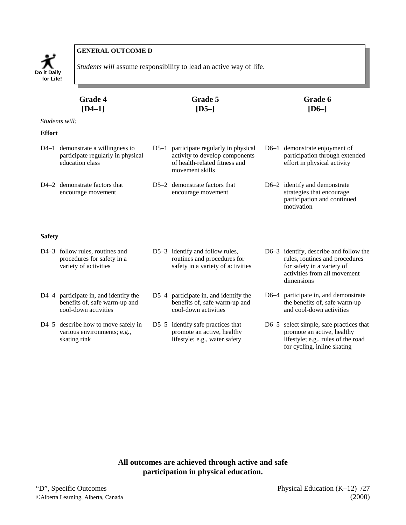

**Students will assume responsibility to lead an active way of life. Do it Daily** ...

| <b>Grade 4</b> | Grade 5 | Grade 6 |
|----------------|---------|---------|
| $[D4-1]$       | $[D5-]$ | $[D6-]$ |
| Students will: |         |         |

#### **Effort**

| $D4-1$ demonstrate a willingness to<br>participate regularly in physical<br>education class | D5-1 participate regularly in physical<br>activity to develop components<br>of health-related fitness and<br>movement skills | D6-1 demonstrate enjoyment of<br>participation through extended<br>effort in physical activity |
|---------------------------------------------------------------------------------------------|------------------------------------------------------------------------------------------------------------------------------|------------------------------------------------------------------------------------------------|
| D4-2 demonstrate factors that<br>encourage movement                                         | D5-2 demonstrate factors that<br>encourage movement                                                                          | $D6-2$ identify and demonstrate<br>strategies that encourage                                   |

#### **Safety**

|      | D4-3 follow rules, routines and<br>procedures for safety in a<br>variety of activities    | D5-3 identify and follow rules,<br>routines and procedures for<br>safety in a variety of activities | D6-3 identify, describe and follow the<br>rules, routines and procedures<br>for safety in a variety of<br>activities from all movement<br>dimensions |
|------|-------------------------------------------------------------------------------------------|-----------------------------------------------------------------------------------------------------|------------------------------------------------------------------------------------------------------------------------------------------------------|
| D4–4 | participate in, and identify the<br>benefits of, safe warm-up and<br>cool-down activities | $D5-4$ participate in, and identify the<br>benefits of, safe warm-up and<br>cool-down activities    | D6-4 participate in, and demonstrate<br>the benefits of, safe warm-up<br>and cool-down activities                                                    |
|      | D4–5 describe how to move safely in<br>various environments; e.g.,<br>skating rink        | D5 $-5$ identify safe practices that<br>promote an active, healthy<br>lifestyle; e.g., water safety | $D6-5$ select simple, safe practices that<br>promote an active, healthy<br>lifestyle; e.g., rules of the road                                        |

# **All outcomes are achieved through active and safe participation in physical education.**

participation and continued

for cycling, inline skating

motivation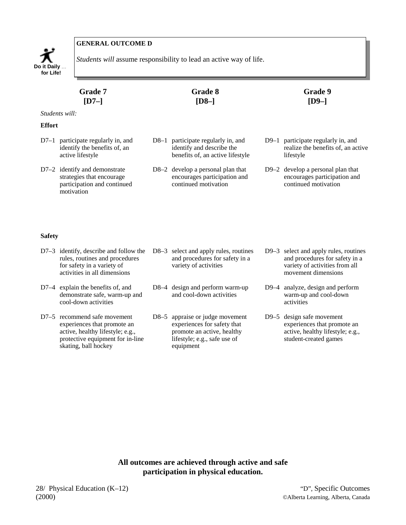

*Students will* assume responsibility to lead an active way of life.

|               | <b>Grade 7</b><br>$[D7-]$                                                         | <b>Grade 8</b><br>$[D8-]$                                                                             | <b>Grade 9</b><br>$[D9-]$                                                             |
|---------------|-----------------------------------------------------------------------------------|-------------------------------------------------------------------------------------------------------|---------------------------------------------------------------------------------------|
|               | <i>Students will:</i>                                                             |                                                                                                       |                                                                                       |
| <b>Effort</b> |                                                                                   |                                                                                                       |                                                                                       |
| $D7-1$        | participate regularly in, and<br>identify the benefits of, an<br>active lifestyle | $D8-1$ participate regularly in, and<br>identify and describe the<br>benefits of, an active lifestyle | D9–1 participate regularly in, and<br>realize the benefits of, an active<br>lifestyle |
|               | $D7-2$ identify and demonstrate<br>strategies that encourage                      | D8-2 develop a personal plan that<br>encourages participation and                                     | D9-2 develop a personal plan that<br>encourages participation and                     |

- $D7$ strategies that encourage participation and continued motivation
- encourages participation and continued motivation
- continued motivation

#### **Safety**

D7–3 identify, describe and follow the D8–3 select and apply rules, routines rules, routines and procedures for safety in a variety of activities in all dimensions and procedures for safety in a variety of activities D9–3 select and apply rules, routines and procedures for safety in a variety of activities from all movement dimensions D7–4 explain the benefits of, and demonstrate safe, warm-up and cool-down activities D8–4 design and perform warm-up and cool-down activities D9–4 analyze, design and perform warm-up and cool-down activities D7–5 recommend safe movement experiences that promote an active, healthy lifestyle; e.g., protective equipment for in-line skating, ball hockey D8–5 appraise or judge movement experiences for safety that promote an active, healthy lifestyle; e.g., safe use of equipment D9–5 design safe movement experiences that promote an active, healthy lifestyle; e.g., student-created games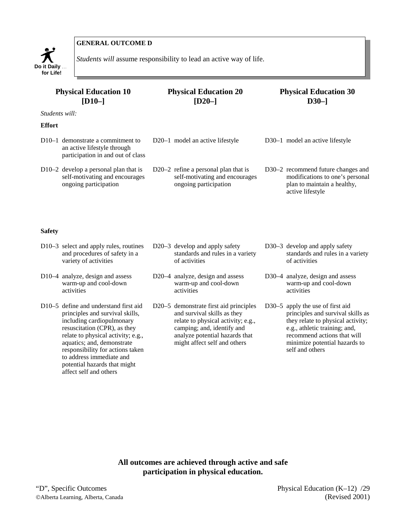

*Students will* assume responsibility to lead an active way of life.

| <b>Physical Education 10</b><br>$[D10-]$                                                                           | <b>Physical Education 20</b><br>$[D20-]$                                                           | <b>Physical Education 30</b><br>$D30-$                                                                                   |  |  |  |
|--------------------------------------------------------------------------------------------------------------------|----------------------------------------------------------------------------------------------------|--------------------------------------------------------------------------------------------------------------------------|--|--|--|
| <i>Students will:</i>                                                                                              |                                                                                                    |                                                                                                                          |  |  |  |
| <b>Effort</b>                                                                                                      |                                                                                                    |                                                                                                                          |  |  |  |
| D <sub>10</sub> –1 demonstrate a commitment to<br>an active lifestyle through<br>participation in and out of class | D <sub>20</sub> –1 model an active lifestyle                                                       | D30-1 model an active lifestyle                                                                                          |  |  |  |
| D10-2 develop a personal plan that is<br>self-motivating and encourages<br>ongoing participation                   | D20 $-2$ refine a personal plan that is<br>self-motivating and encourages<br>ongoing participation | D30-2 recommend future changes and<br>modifications to one's personal<br>plan to maintain a healthy,<br>active lifestyle |  |  |  |
| <b>Safety</b>                                                                                                      |                                                                                                    |                                                                                                                          |  |  |  |
| $D10-3$ select and apply rules, routines<br>and procedures of safety in a                                          | D20–3 develop and apply safety<br>standards and rules in a variety                                 | D30–3 develop and apply safety<br>standards and rules in a variety                                                       |  |  |  |

D10–4 analyze, design and assess warm-up and cool-down activities

variety of activities

D10–5 define and understand first aid principles and survival skills, including cardiopulmonary resuscitation (CPR), as they relate to physical activity; e.g., aquatics; and, demonstrate responsibility for actions taken to address immediate and potential hazards that might affect self and others

standards and rules in a variety of activities

D20–4 analyze, design and assess warm-up and cool-down activities

D20–5 demonstrate first aid principles and survival skills as they relate to physical activity; e.g., camping; and, identify and analyze potential hazards that might affect self and others

standards and rules in a variety of activities

D30–4 analyze, design and assess warm-up and cool-down activities

D30–5 apply the use of first aid principles and survival skills as they relate to physical activity; e.g., athletic training; and, recommend actions that will minimize potential hazards to self and others

**All outcomes are achieved through active and safe participation in physical education.** 

"D", Specific Outcomes Physical Education (K–12) /29 Alberta Learning, Alberta, Canada (Revised 2001)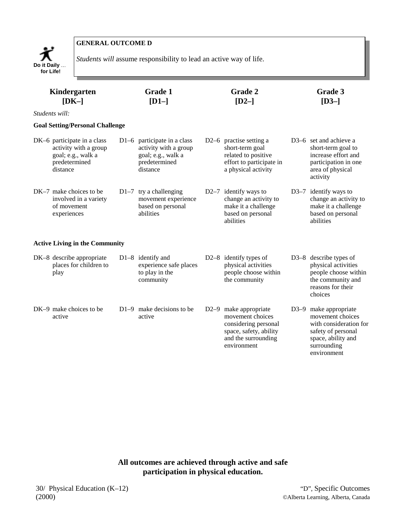

*Students will* assume responsibility to lead an active way of life.

| <b>Grade 1</b><br>Kindergarten<br>$[DK-]$<br>$[D1-]$                                                    |        |                                                                                                         | <b>Grade 2</b><br>$[D2-]$                                                                                                         | Grade 3<br>$[D3-]$                                                                                                                            |
|---------------------------------------------------------------------------------------------------------|--------|---------------------------------------------------------------------------------------------------------|-----------------------------------------------------------------------------------------------------------------------------------|-----------------------------------------------------------------------------------------------------------------------------------------------|
| Students will:                                                                                          |        |                                                                                                         |                                                                                                                                   |                                                                                                                                               |
| <b>Goal Setting/Personal Challenge</b>                                                                  |        |                                                                                                         |                                                                                                                                   |                                                                                                                                               |
| DK-6 participate in a class<br>activity with a group<br>goal; e.g., walk a<br>predetermined<br>distance |        | D1-6 participate in a class<br>activity with a group<br>goal; e.g., walk a<br>predetermined<br>distance | D <sub>2</sub> -6 practise setting a<br>short-term goal<br>related to positive<br>effort to participate in<br>a physical activity | D <sub>3</sub> –6 set and achieve a<br>short-term goal to<br>increase effort and<br>participation in one<br>area of physical<br>activity      |
| $DK-7$ make choices to be<br>involved in a variety<br>of movement<br>experiences                        |        | $D1-7$ try a challenging<br>movement experience<br>based on personal<br>abilities                       | D2 $-7$ identify ways to<br>change an activity to<br>make it a challenge<br>based on personal<br>abilities                        | $D3-7$ identify ways to<br>change an activity to<br>make it a challenge<br>based on personal<br>abilities                                     |
| <b>Active Living in the Community</b>                                                                   |        |                                                                                                         |                                                                                                                                   |                                                                                                                                               |
| DK-8 describe appropriate<br>places for children to<br>play                                             |        | $D1-8$ identify and<br>experience safe places<br>to play in the<br>community                            | D2 $-8$ identify types of<br>physical activities<br>people choose within<br>the community                                         | D3-8 describe types of<br>physical activities<br>people choose within<br>the community and<br>reasons for their<br>choices                    |
| DK-9 make choices to be<br>active                                                                       | $D1-9$ | make decisions to be<br>active                                                                          | D2-9 make appropriate<br>movement choices<br>considering personal<br>space, safety, ability<br>and the surrounding<br>environment | D3-9 make appropriate<br>movement choices<br>with consideration for<br>safety of personal<br>space, ability and<br>surrounding<br>environment |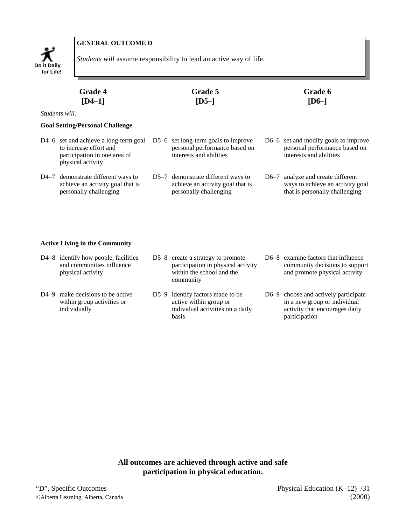

*Students will* assume responsibility to lead an active way of life.

|      | <b>Grade 4</b><br>[ $D4-1$ ]                                                                                         |  | <b>Grade 5</b><br>$[D5-]$                                                                         |        | Grade 6<br>$[D6-]$                                                                                 |  |  |  |
|------|----------------------------------------------------------------------------------------------------------------------|--|---------------------------------------------------------------------------------------------------|--------|----------------------------------------------------------------------------------------------------|--|--|--|
|      | <i>Students will:</i>                                                                                                |  |                                                                                                   |        |                                                                                                    |  |  |  |
|      | <b>Goal Setting/Personal Challenge</b>                                                                               |  |                                                                                                   |        |                                                                                                    |  |  |  |
|      | D4–6 set and achieve a long-term goal<br>to increase effort and<br>participation in one area of<br>physical activity |  | $D5-6$ set long-term goals to improve<br>personal performance based on<br>interests and abilities |        | D6–6 set and modify goals to improve<br>personal performance based on<br>interests and abilities   |  |  |  |
| D4–7 | demonstrate different ways to<br>achieve an activity goal that is<br>personally challenging                          |  | D5–7 demonstrate different ways to<br>achieve an activity goal that is<br>personally challenging  | $D6-7$ | analyze and create different<br>ways to achieve an activity goal<br>that is personally challenging |  |  |  |

#### **Active Living in the Community**

| D4-8 identify how people, facilities<br>and communities influence<br>physical activity      | D5-8 create a strategy to promote<br>participation in physical activity<br>within the school and the<br>community | D6–8 examine factors that influence<br>community decisions to support<br>and promote physical activity                  |
|---------------------------------------------------------------------------------------------|-------------------------------------------------------------------------------------------------------------------|-------------------------------------------------------------------------------------------------------------------------|
| D <sub>4</sub> –9 make decisions to be active<br>within group activities or<br>individually | D5-9 identify factors made to be<br>active within group or<br>individual activities on a daily<br><b>basis</b>    | D6–9 choose and actively participate<br>in a new group or individual<br>activity that encourages daily<br>participation |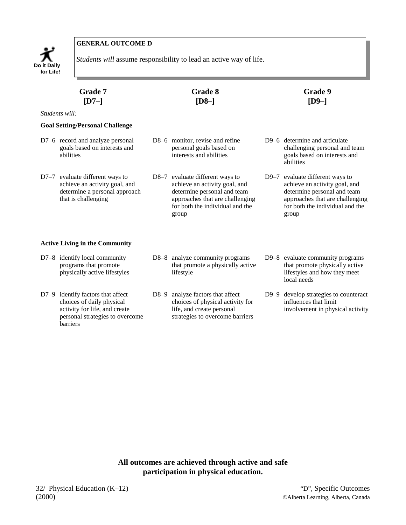

*Students will* assume responsibility to lead an active way of life.

| Grade 7<br>$[D7-]$ |                                                                                                                          | Grade 8<br>$[D8-]$                                                                                                                                                             | Grade 9<br>$[D9-]$                                                                                                                                                             |  |
|--------------------|--------------------------------------------------------------------------------------------------------------------------|--------------------------------------------------------------------------------------------------------------------------------------------------------------------------------|--------------------------------------------------------------------------------------------------------------------------------------------------------------------------------|--|
|                    | Students will:                                                                                                           |                                                                                                                                                                                |                                                                                                                                                                                |  |
|                    | <b>Goal Setting/Personal Challenge</b>                                                                                   |                                                                                                                                                                                |                                                                                                                                                                                |  |
|                    | D7-6 record and analyze personal<br>goals based on interests and<br>abilities                                            | D8–6 monitor, revise and refine<br>personal goals based on<br>interests and abilities                                                                                          | D9–6 determine and articulate<br>challenging personal and team<br>goals based on interests and<br>abilities                                                                    |  |
|                    | D7-7 evaluate different ways to<br>achieve an activity goal, and<br>determine a personal approach<br>that is challenging | D8-7 evaluate different ways to<br>achieve an activity goal, and<br>determine personal and team<br>approaches that are challenging<br>for both the individual and the<br>group | D9-7 evaluate different ways to<br>achieve an activity goal, and<br>determine personal and team<br>approaches that are challenging<br>for both the individual and the<br>group |  |
|                    | <b>Active Living in the Community</b>                                                                                    |                                                                                                                                                                                |                                                                                                                                                                                |  |
|                    | D7-8 identify local community<br>programs that promote<br>physically active lifestyles                                   | D8-8 analyze community programs<br>that promote a physically active<br>lifestyle                                                                                               | D9-8 evaluate community programs<br>that promote physically active<br>lifestyles and how they meet<br>local needs                                                              |  |

- D7–9 identify factors that affect choices of daily physical activity for life, and create personal strategies to overcome D8–9 analyze factors that affect choices of physical activity for life, and create personal strategies to overcome barriers
- D9–9 develop strategies to counteract influences that limit involvement in physical activity

**All outcomes are achieved through active and safe participation in physical education.**

barriers